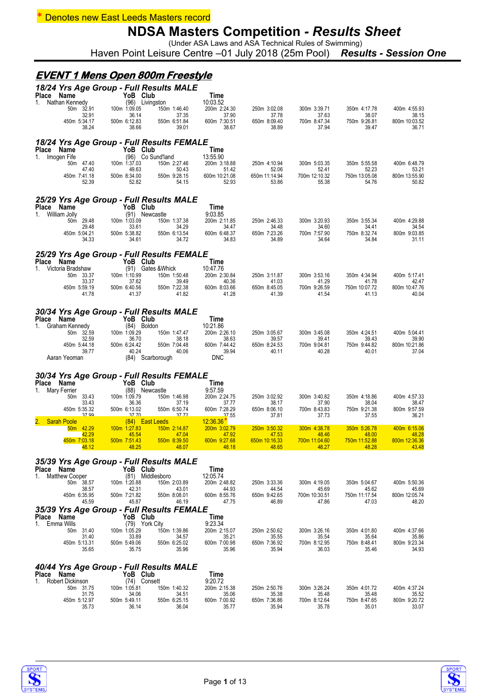#### **Denotes new East Leeds Masters record**

### **NDSA Masters Competition** *- Results Sheet*

(Under ASA Laws and ASA Technical Rules of Swimming) Haven Point Leisure Centre –01 July 2018 (25m Pool) *Results - Session One*

#### **EVENT 1 Mens Open 800m Freestyle**

| Name<br><b>Place</b><br>Nathan Kennedy<br>1.                    | YoB Club<br>(96) Livingston           | 18/24 Yrs Age Group - Full Results MALE | Time<br>10:03.52                      |                                       |                                       |                                       |                                       |
|-----------------------------------------------------------------|---------------------------------------|-----------------------------------------|---------------------------------------|---------------------------------------|---------------------------------------|---------------------------------------|---------------------------------------|
| 50m 32.91<br>32.91                                              | 100m 1:09.05<br>36.14                 | 150m 1:46.40<br>37.35                   | 200m 2:24.30<br>37.90                 | 250m 3:02.08<br>37.78                 | 300m 3:39.71<br>37.63                 | 350m 4:17.78<br>38.07                 | 400m 4:55.93<br>38.15                 |
| 450m 5:34.17                                                    | 500m 6:12.83                          | 550m 6:51.84                            | 600m 7:30.51                          | 650m 8:09.40                          | 700m 8:47.34                          | 750m 9:26.81                          | 800m 10:03.52                         |
| 38.24                                                           | 38.66                                 | 39.01                                   | 38.67                                 | 38.89                                 | 37.94                                 | 39.47                                 | 36.71                                 |
| 18/24 Yrs Age Group - Full Results FEMALE                       |                                       |                                         |                                       |                                       |                                       |                                       |                                       |
| Place<br>Name<br>Imogen Fife<br>1.                              | YoB Club                              | (96) Co Sund'land                       | Time<br>13:55.90                      |                                       |                                       |                                       |                                       |
| 50m 47.40                                                       | 100m 1:37.03                          | 150m 2:27.46                            | 200m 3:18.88                          | 250m 4:10.94                          | 300m 5:03.35                          | 350m 5:55.58                          | 400m 6:48.79                          |
| 47.40<br>450m 7:41.18                                           | 49.63<br>500m 8:34.00                 | 50.43<br>550m 9:28.15                   | 51.42<br>600m 10:21.08                | 52.06<br>650m 11:14.94                | 52.41<br>700m 12:10.32                | 52.23<br>750m 13:05.08                | 53.21<br>800m 13:55.90                |
| 52.39                                                           | 52.82                                 | 54.15                                   | 52.93                                 | 53.86                                 | 55.38                                 | 54.76                                 | 50.82                                 |
| 25/29 Yrs Age Group - Full Results MALE                         |                                       |                                         |                                       |                                       |                                       |                                       |                                       |
| Name<br>Place                                                   | YoB Club                              |                                         | Time                                  |                                       |                                       |                                       |                                       |
| William Jolly<br>1.<br>50m 29.48                                | (91) Newcastle<br>100m 1:03.09        | 150m 1:37.38                            | 9:03.85<br>200m 2:11.85               | 250m 2:46.33                          | 300m 3:20.93                          | 350m 3:55.34                          | 400m 4:29.88                          |
| 29.48<br>450m 5:04.21                                           | 33.61<br>500m 5:38.82                 | 34.29<br>550m 6:13.54                   | 34.47<br>600m 6:48.37                 | 34.48<br>650m 7:23.26                 | 34.60<br>700m 7:57.90                 | 34.41<br>750m 8:32.74                 | 34.54<br>800m 9:03.85                 |
| 34.33                                                           | 34.61                                 | 34.72                                   | 34.83                                 | 34.89                                 | 34.64                                 | 34.84                                 | 31.11                                 |
| 25/29 Yrs Age Group - Full Results FEMALE                       |                                       |                                         |                                       |                                       |                                       |                                       |                                       |
| <b>Name</b><br>Place                                            | YoB Club                              |                                         | Time                                  |                                       |                                       |                                       |                                       |
| 1.<br>Victoria Bradshaw<br>50m 33.37                            | 100m 1:10.99                          | (91) Gates & Whick<br>150m 1:50.48      | 10:47.76<br>200m 2:30.84              | 250m 3:11.87                          | 300m 3:53.16                          | 350m 4:34.94                          | 400m 5:17.41                          |
| 33.37<br>450m 5:59.19                                           | 37.62<br>500m 6:40.56                 | 39.49<br>550m 7:22.38                   | 40.36<br>600m 8:03.66                 | 41.03<br>650m 8:45.05                 | 41.29                                 | 41.78<br>750m 10:07.72                | 42.47<br>800m 10:47.76                |
| 41.78                                                           | 41.37                                 | 41.82                                   | 41.28                                 | 41.39                                 | 700m 9:26.59<br>41.54                 | 41.13                                 | 40.04                                 |
| 30/34 Yrs Age Group - Full Results MALE<br>Name<br><b>Place</b> | YoB Club                              |                                         | Time                                  |                                       |                                       |                                       |                                       |
| Graham Kennedy<br>1.<br>50m 32.59                               | (84) Boldon<br>100m 1:09.29           | 150m 1:47.47                            | 10:21.86<br>200m 2:26.10              | 250m 3:05.67                          | 300m 3:45.08                          | 350m 4:24.51                          | 400m 5:04.41                          |
| 32.59                                                           | 36.70                                 | 38.18                                   | 38.63                                 | 39.57                                 | 39.41                                 | 39.43                                 | 39.90                                 |
| 450m 5:44.18<br>39.77                                           | 500m 6:24.42<br>40.24                 | 550m 7:04.48<br>40.06                   | 600m 7:44.42<br>39.94                 | 650m 8:24.53<br>40.11                 | 700m 9:04.81<br>40.28                 | 750m 9:44.82<br>40.01                 | 800m 10:21.86<br>37.04                |
| Aaran Yeoman                                                    |                                       | (84) Scarborough                        | <b>DNC</b>                            |                                       |                                       |                                       |                                       |
|                                                                 |                                       |                                         |                                       |                                       |                                       |                                       |                                       |
|                                                                 |                                       |                                         |                                       |                                       |                                       |                                       |                                       |
| 30/34 Yrs Age Group - Full Results FEMALE<br>Place Name         | YoB Club                              |                                         | Time                                  |                                       |                                       |                                       |                                       |
| 1.<br>Mary Ferrier                                              | (88) Newcastle                        |                                         | 9:57.59                               |                                       |                                       |                                       |                                       |
| 50m 33.43<br>33.43                                              | 100m 1:09.79<br>36.36                 | 150m 1:46.98<br>37.19                   | 200m 2:24.75<br>37.77                 | 250m 3:02.92<br>38.17                 | 300m 3:40.82<br>37.90                 | 350m 4:18.86<br>38.04                 | 400m 4:57.33<br>38.47                 |
| 450m 5:35.32<br>37.99                                           | 500m 6:13.02<br>3770                  | 550m 6:50.74<br>37.72                   | 600m 7:28.29<br>37.55                 | 650m 8:06.10<br>37.81                 | 700m 8:43.83<br>37.73                 | 750m 9:21.38<br>37.55                 | 800m 9:57.59<br>36.21                 |
| 2.<br><b>Sarah Poole</b><br>50m 42.29                           |                                       | (84) East Leeds<br>150m 2:14.87         | 12:36.36                              | 250m 3:50.32                          |                                       | 350m 5:26.78                          | 400m 6:15.06                          |
| 42.29                                                           | 100m 1:27.83<br>45.54                 | 47.04                                   | 200m 3:02.79<br>47.92                 | 47.53                                 | 300m 4:38.78<br>48.46                 | 48.00                                 | 48.28                                 |
| 450m 7:03.18<br>48.12                                           | 500m 7:51.43<br>48.25                 | 550m 8:39.50<br>48.07                   | 600m 9:27.68<br>48.18                 | 650m 10:16.33<br>48.65                | 700m 11:04.60<br>48.27                | 750m 11:52.88<br>48.28                | 800m 12:36.36<br>43.48                |
|                                                                 |                                       |                                         |                                       |                                       |                                       |                                       |                                       |
| 35/39 Yrs Age Group - Full Results MALE<br>Place Name           | YoB Club                              |                                         | Time                                  |                                       |                                       |                                       |                                       |
| <b>Matthew Cooper</b><br>1.                                     |                                       | (81) Middlesboro                        | 12:05.74                              |                                       |                                       |                                       |                                       |
| 50m 38.57<br>38.57                                              | 100m 1:20.88<br>42.31                 | 150m 2:03.89<br>43.01                   | 200m 2:48.82<br>44.93                 | 250m 3:33.36<br>44.54                 | 300m 4:19.05<br>45.69                 | 350m 5:04.67<br>45.62                 | 400m 5:50.36<br>45.69                 |
| 450m 6:35.95<br>45.59                                           | 500m 7:21.82<br>45.87                 | 550m 8:08.01<br>46.19                   | 600m 8:55.76<br>47.75                 | 650m 9:42.65<br>46.89                 | 700m 10:30.51<br>47.86                | 750m 11:17.54<br>47.03                | 800m 12:05.74<br>48.20                |
| 35/39 Yrs Age Group - Full Results FEMALE                       |                                       |                                         |                                       |                                       |                                       |                                       |                                       |
| Place Name<br>1. Emma Wills                                     | YoB Club                              |                                         | Time                                  |                                       |                                       |                                       |                                       |
| 50m 31.40                                                       | (79) York City<br>100m 1:05.29        | 150m 1:39.86                            | 9:23.34<br>200m 2:15.07               | 250m 2:50.62                          | 300m 3:26.16                          | 350m 4:01.80                          | 400m 4:37.66                          |
| 31.40<br>450m 5:13.31                                           | 33.89<br>500m 5:49.06                 | 34.57<br>550m 6:25.02                   | 35.21<br>600m 7:00.98                 | 35.55<br>650m 7:36.92                 | 35.54<br>700m 8:12.95                 | 35.64<br>750m 8:48.41                 | 35.86<br>800m 9:23.34                 |
| 35.65                                                           | 35.75                                 | 35.96                                   | 35.96                                 | 35.94                                 | 36.03                                 | 35.46                                 | 34.93                                 |
|                                                                 |                                       |                                         |                                       |                                       |                                       |                                       |                                       |
| 40/44 Yrs Age Group - Full Results MALE<br>Place Name           | YoB Club                              |                                         | Time                                  |                                       |                                       |                                       |                                       |
| Robert Dickinson<br>1.                                          | (74) Consett                          |                                         | 9:20.72                               |                                       |                                       |                                       |                                       |
| 50m 31.75<br>31.75<br>450m 5:12.97                              | 100m 1:05.81<br>34.06<br>500m 5:49.11 | 150m 1:40.32<br>34.51<br>550m 6:25.15   | 200m 2:15.38<br>35.06<br>600m 7:00.92 | 250m 2:50.76<br>35.38<br>650m 7:36.86 | 300m 3:26.24<br>35.48<br>700m 8:12.64 | 350m 4:01.72<br>35.48<br>750m 8:47.65 | 400m 4:37.24<br>35.52<br>800m 9:20.72 |

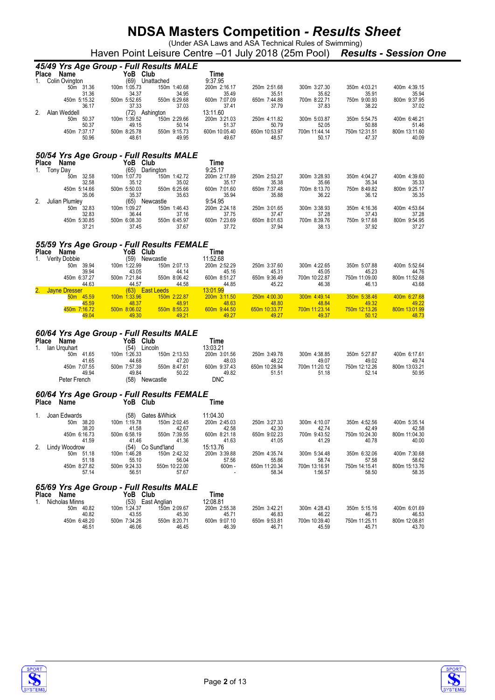(Under ASA Laws and ASA Technical Rules of Swimming) Haven Point Leisure Centre –01 July 2018 (25m Pool) *Results - Session One*

|                                        | 45/49 Yrs Age Group - Full Results MALE               |                          |                        |                        |                        |                        |
|----------------------------------------|-------------------------------------------------------|--------------------------|------------------------|------------------------|------------------------|------------------------|
| <b>Place</b><br>Name                   | YoB Club                                              | Time                     |                        |                        |                        |                        |
| Colin Ovington<br>1.                   | (69)<br>Unattached                                    | 9:37.95                  |                        |                        |                        |                        |
| 50m 31.36                              | 100m 1:05.73<br>150m 1:40.68                          | 200m 2:16.17             | 250m 2:51.68           | 300m 3:27.30           | 350m 4:03.21           | 400m 4:39.15           |
| 31.36<br>450m 5:15.32                  | 34.37<br>34.95<br>500m 5:52.65<br>550m 6:29.68        | 35.49<br>600m 7:07.09    | 35.51<br>650m 7:44.88  | 35.62<br>700m 8:22.71  | 35.91<br>750m 9:00.93  | 35.94<br>800m 9:37.95  |
| 36.17                                  | 37.33<br>37.03                                        | 37.41                    | 37.79                  | 37.83                  | 38.22                  | 37.02                  |
| 2.<br>Alan Weddell                     | (72) Ashington                                        | 13:11.60                 |                        |                        |                        |                        |
| 50m<br>50.37                           | 100m 1:39.52<br>150m 2:29.66                          | 200m 3:21.03             | 250m 4:11.82           | 300m 5:03.87           | 350m 5:54.75           | 400m 6:46.21           |
| 50.37                                  | 49.15<br>50.14                                        | 51.37                    | 50.79                  | 52.05                  | 50.88                  | 51.46                  |
| 450m 7:37.17<br>50.96                  | 500m 8:25.78<br>550m 9:15.73<br>48.61<br>49.95        | 600m 10:05.40<br>49.67   | 650m 10:53.97<br>48.57 | 700m 11:44.14<br>50.17 | 750m 12:31.51<br>47.37 | 800m 13:11.60<br>40.09 |
|                                        |                                                       |                          |                        |                        |                        |                        |
|                                        |                                                       |                          |                        |                        |                        |                        |
|                                        | 50/54 Yrs Age Group - Full Results MALE               |                          |                        |                        |                        |                        |
| Name<br><b>Place</b><br>Tony Day<br>1. | YoB Club<br>(65)<br>Darlington                        | Time<br>9:25.17          |                        |                        |                        |                        |
| 50m 32.58                              | 100m 1:07.70<br>150m 1:42.72                          | 200m 2:17.89             | 250m 2:53.27           | 300m 3:28.93           | 350m 4:04.27           | 400m 4:39.60           |
| 32.58                                  | 35.12<br>35.02                                        | 35.17                    | 35.38                  | 35.66                  | 35.34                  | 35.33                  |
| 450m 5:14.66                           | 500m 5:50.03<br>550m 6:25.66                          | 600m 7:01.60             | 650m 7:37.48           | 700m 8:13.70           | 750m 8:49.82           | 800m 9:25.17           |
| 35.06<br>2.                            | 35.37<br>35.63                                        | 35.94<br>9:54.95         | 35.88                  | 36.22                  | 36.12                  | 35.35                  |
| Julian Plumley<br>32.83<br>50m         | (65) Newcastle<br>100m 1:09.27<br>150m 1:46.43        | 200m 2:24.18             | 250m 3:01.65           | 300m 3:38.93           | 350m 4:16.36           | 400m 4:53.64           |
| 32.83                                  | 36.44<br>37.16                                        | 37.75                    | 37.47                  | 37.28                  | 37.43                  | 37.28                  |
| 450m 5:30.85                           | 500m 6:08.30<br>550m 6:45.97                          | 600m 7:23.69             | 650m 8:01.63           | 700m 8:39.76           | 750m 9:17.68           | 800m 9:54.95           |
| 37.21                                  | 37.45<br>37.67                                        | 37.72                    | 37.94                  | 38.13                  | 37.92                  | 37.27                  |
|                                        |                                                       |                          |                        |                        |                        |                        |
|                                        | 55/59 Yrs Age Group - Full Results FEMALE             |                          |                        |                        |                        |                        |
| <b>Place</b><br>Name                   | YoB Club                                              | Time                     |                        |                        |                        |                        |
| <b>Verity Dobbie</b><br>1.             | (59) Newcastle                                        | 11:52.68                 |                        |                        |                        |                        |
| 50m 39.94<br>39.94                     | 100m 1:22.99<br>150m 2:07.13<br>43.05<br>44.14        | 200m 2:52.29<br>45.16    | 250m 3:37.60<br>45.31  | 300m 4:22.65<br>45.05  | 350m 5:07.88<br>45.23  | 400m 5:52.64<br>44.76  |
| 450m 6:37.27                           | 500m 7:21.84<br>550m 8:06.42                          | 600m 8:51.27             | 650m 9:36.49           | 700m 10:22.87          | 750m 11:09.00          | 800m 11:52.68          |
| 44.63                                  | 44.57<br>44.58                                        | 44.85                    | 45.22                  | 46.38                  | 46.13                  | 43.68                  |
| <b>Jayne Dresser</b>                   | (63) East Leeds                                       | <u>13:01.99</u>          |                        |                        |                        |                        |
| 50m 45.59<br>45.59                     | 100m 1:33.96<br>150m 2:22.87<br>48.37<br>48.91        | 200m 3:11.50<br>48.63    | 250m 4:00.30<br>48.80  | 300m 4:49.14<br>48.84  | 350m 5:38.46<br>49.32  | 400m 6:27.68<br>49.22  |
| 450m 7:16.72                           | 500m 8:06.02<br>550m 8:55.23                          | 600m 9:44.50             | 650m 10:33.77          | 700m 11:23.14          | 750m 12:13.26          | 800m 13:01.99          |
| 49.04                                  | 49.30<br>49.21                                        | 49.27                    | 49.27                  | 49.37                  | 50.12                  | 48.73                  |
|                                        |                                                       |                          |                        |                        |                        |                        |
|                                        | 60/64 Yrs Age Group - Full Results MALE               |                          |                        |                        |                        |                        |
| <b>Place</b><br>Name                   | YoB Club                                              | Time                     |                        |                        |                        |                        |
| lan Urguhart<br>1.                     | (54)<br>Lincoln                                       | 13:03.21                 |                        |                        |                        |                        |
| 50m 41.65                              | 100m 1:26.33<br>150m 2:13.53                          | 200m 3:01.56             | 250m 3:49.78           | 300m 4:38.85           | 350m 5:27.87           | 400m 6:17.61           |
| 41.65                                  | 44.68<br>47.20                                        | 48.03<br>600m 9:37.43    | 48.22<br>650m 10:28.94 | 49.07                  | 49.02                  | 49.74                  |
| 450m 7:07.55<br>49.94                  | 500m 7:57.39<br>550m 8:47.61<br>50.22<br>49.84        | 49.82                    | 51.51                  | 700m 11:20.12<br>51.18 | 750m 12:12.26<br>52.14 | 800m 13:03.21<br>50.95 |
| Peter French                           | (58) Newcastle                                        | <b>DNC</b>               |                        |                        |                        |                        |
|                                        |                                                       |                          |                        |                        |                        |                        |
|                                        | 60/64 Yrs Age Group - Full Results FEMALE             |                          |                        |                        |                        |                        |
| Name<br><b>Place</b>                   | YoB Club                                              | Time                     |                        |                        |                        |                        |
|                                        |                                                       |                          |                        |                        |                        |                        |
| Joan Edwards<br>1.<br>50m 38.20        | (58)<br>Gates & Whick<br>100m 1:19.78<br>150m 2:02.45 | 11:04.30<br>200m 2:45.03 | 250m 3:27.33           | 300m 4:10.07           | 350m 4:52.56           | 400m 5:35.14           |
| 38.20                                  | 41.58<br>42.67                                        | 42.58                    | 42.30                  | 42.74                  | 42.49                  | 42.58                  |
| 450m 6:16.73                           | 550m 7:39.55<br>500m 6:58.19                          | 600m 8:21.18             | 650m 9:02.23           | 700m 9:43.52           | 750m 10:24.30          | 800m 11:04.30          |
| 41.59                                  | 41.46<br>41.36                                        | 41.63                    | 41.05                  | 41.29                  | 40.78                  | 40.00                  |
| 2.<br>Lindy Woodrow                    | (54) Co Sund'land                                     | 15:13.76                 |                        |                        |                        |                        |
| 50m 51.18<br>51.18                     | 100m 1:46.28<br>150m 2:42.32<br>55.10<br>56.04        | 200m 3:39.88<br>57.56    | 250m 4:35.74<br>55.86  | 300m 5:34.48<br>58.74  | 350m 6:32.06<br>57.58  | 400m 7:30.68<br>58.62  |
| 450m 8:27.82                           | 500m 9:24.33<br>550m 10:22.00                         | 600m -                   | 650m 11:20.34          | 700m 13:16.91          | 750m 14:15.41          | 800m 15:13.76          |
| 57.14                                  | 56.51<br>57.67                                        | $\sim$                   | 58.34                  | 1:56.57                | 58.50                  | 58.35                  |
|                                        |                                                       |                          |                        |                        |                        |                        |
|                                        | 65/69 Yrs Age Group - Full Results MALE               |                          |                        |                        |                        |                        |
| Place Name                             | YoB Club                                              | Time                     |                        |                        |                        |                        |
| Nicholas Minns<br>1.<br>50m 40.82      | (53) East Anglian<br>150m 2:09.67<br>100m 1:24.37     | 12:08.81<br>200m 2:55.38 | 250m 3:42.21           | 300m 4:28.43           | 350m 5:15.16           | 400m 6:01.69           |
| 40.82                                  | 43.55<br>45.30                                        | 45.71                    | 46.83                  | 46.22                  | 46.73                  | 46.53                  |
| 450m 6:48.20                           | 500m 7:34.26<br>550m 8:20.71                          | 600m 9:07.10             | 650m 9:53.81           | 700m 10:39.40          | 750m 11:25.11          | 800m 12:08.81          |





46.51 46.06 46.45 46.39 46.71 45.59 45.71 43.70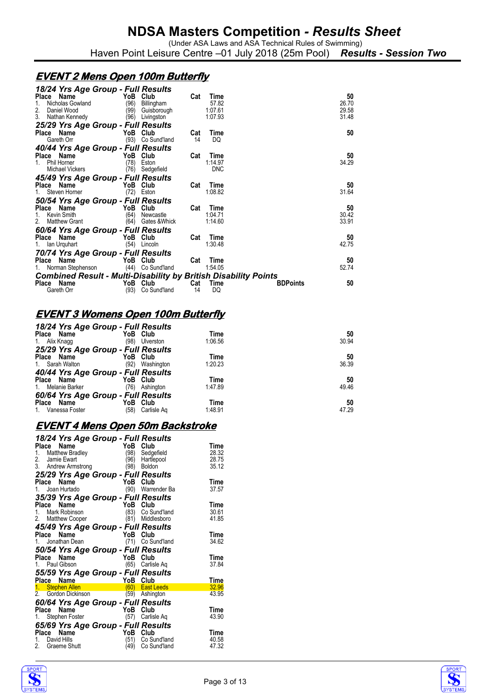Haven Point Leisure Centre –01 July 2018 (25m Pool) *Results - Session Two*

### **EVENT 2 Mens Open 100m Butterfly**

| 18/24 Yrs Age Group - Full Results<br>Name<br>Place<br>Nicholas Gowland<br>1.<br>2.<br>Daniel Wood  | YoB Club<br>(96)<br>Billingham<br>(99)<br>Guisborough  | Cat       | Time<br>57.82<br>1:07.61      | 50<br>26.70<br>29.58  |
|-----------------------------------------------------------------------------------------------------|--------------------------------------------------------|-----------|-------------------------------|-----------------------|
| 3.<br>Nathan Kennedy                                                                                | (96)<br>Livingston                                     |           | 1:07.93                       | 31.48                 |
| 25/29 Yrs Age Group - Full Results<br>Place Name<br>Gareth Orr                                      | YoB Club<br>(93)<br>Co Sund'land                       | Cat<br>14 | Time<br>DQ                    | 50                    |
| 40/44 Yrs Age Group - Full Results<br>Place Name<br>Phil Horner<br>Michael Vickers                  | YoB Club<br>(78)<br>Eston<br>(76)<br>Sedgefield        | Cat       | Time<br>1:14.97<br><b>DNC</b> | 50<br>34.29           |
| 45/49 Yrs Age Group - Full Results<br>Place Name<br>Steven Horner                                   | YoB Club<br>(72)<br>Eston                              | Cat       | Time<br>1:08.82               | 50<br>31.64           |
| 50/54 Yrs Age Group - Full Results<br>Place Name<br>Kevin Smith<br>1.<br><b>Matthew Grant</b><br>2. | YoB Club<br>(64)<br>Newcastle<br>Gates & Whick<br>(64) | Cat       | Time<br>1:04.71<br>1:14.60    | 50<br>30.42<br>33.91  |
| 60/64 Yrs Age Group - Full Results<br>Place Name<br>1. Ian Urquhart                                 | YoB Club<br>(54) Lincoln                               | Cat       | Time<br>1:30.48               | 50<br>42.75           |
| 70/74 Yrs Age Group - Full Results<br>Place Name<br>1. Norman Stephenson                            | YoB Club<br>(44) Co Sund'land                          | Cat       | Time<br>1:54.05               | 50<br>52.74           |
| <b>Combined Result - Multi-Disability by British Disability Points</b>                              |                                                        |           |                               |                       |
| Place Name<br>Gareth Orr                                                                            | YoB Club<br>(93)<br>Co Sund'land                       | Cat<br>14 | Time<br>DQ                    | 50<br><b>BDPoints</b> |

# **EVENT 3 Womens Open 100m Butterfly**

| 18/24 Yrs Age Group - Full Results |             |                        |       |
|------------------------------------|-------------|------------------------|-------|
| Place Name                         | YoB Club    | Time                   | 50    |
| 1. Alix Knagg                      | (98)        | 1:06.56<br>Ulverston   | 30.94 |
| 25/29 Yrs Age Group - Full Results |             |                        |       |
| Place Name                         | YoB Club    | Time                   | 50    |
| 1. Sarah Walton                    | (92)        | 1:20.23<br>Washington  | 36.39 |
| 40/44 Yrs Age Group - Full Results |             |                        |       |
| Place Name                         | YoB Club    | Time                   | 50    |
| 1. Melanie Barker                  | (76)        | 1:47.89<br>Ashington   | 49.46 |
| 60/64 Yrs Age Group - Full Results |             |                        |       |
| Place Name                         | YoB<br>Club | Time                   | 50    |
| 1.<br>Vanessa Foster               | (58)        | 1:48.91<br>Carlisle Ag | 47.29 |
|                                    |             |                        |       |

#### **EVENT 4 Mens Open 50m Backstroke**

| 18/24 Yrs Age Group - Full Results   |      |                   |             |
|--------------------------------------|------|-------------------|-------------|
| Name<br>Place                        | YoB  | Club              | Time        |
| Matthew Bradley<br>Jamie Ewart<br>1. | (98) | Sedgefield        | 28.32       |
| 2.                                   | (96) | Hartlepool        | 28.75       |
| 3. Andrew Armstrong                  | (98) | Boldon            | 35.12       |
| 25/29 Yrs Age Group - Full Results   |      |                   |             |
| Place<br>Name                        | YoB  | Club              | Time        |
| 1. Joan Hurtado                      |      | (90) Warrender Ba | 37.57       |
| 35/39 Yrs Age Group - Full Results   |      |                   |             |
| Place<br>Name                        | YoB  | Club              | Time        |
| 1. Mark Robinson                     | (83) | Co Sund'land      | 30.61       |
| 2. Matthew Cooper                    | (81) | Middlesboro       | 41.85       |
| 45/49 Yrs Age Group - Full Results   |      |                   |             |
| Name<br>Place                        | YoB  | Club              | Time        |
| 1. Jonathan Dean                     |      | (71) Co Sund'land | 34.62       |
| 50/54 Yrs Age Group - Full Results   |      |                   |             |
| Place Name                           |      | YoB Club          | Time        |
| 1. Paul Gibson                       | (65) | Carlisle Aq       | 37.84       |
| 55/59 Yrs Age Group - Full Results   |      |                   |             |
| Place Name                           | YoB  | Club              | Time        |
| Place Name<br>1. Stephen Allen       | (60) | <b>East Leeds</b> | 32.96       |
| 2. Gordon Dickinson                  | (59) | Ashington         | 43.95       |
| 60/64 Yrs Age Group - Full Results   |      |                   |             |
| Place Name                           | YoB  | Club              | Time        |
| Stephen Foster<br>1.                 | (57) | Carlisle Ag       | 43.90       |
| 65/69 Yrs Age Group - Full Results   |      |                   |             |
| Name<br>Place                        | YoB  | Club              | <b>Time</b> |
| 1. David Hills                       | (51) | Co Sund'land      | 40.58       |
| 2.<br>Graeme Shutt                   | (49) | Co Sund'land      | 47.32       |
|                                      |      |                   |             |



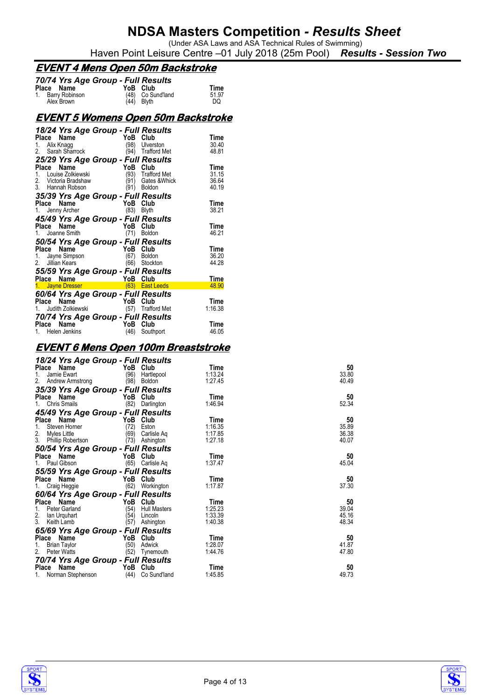(Under ASA Laws and ASA Technical Rules of Swimming) Haven Point Leisure Centre –01 July 2018 (25m Pool) *Results - Session Two*

### **EVENT 4 Mens Open 50m Backstroke**

| 70/74 Yrs Age Group - Full Results |          |                                 |       |
|------------------------------------|----------|---------------------------------|-------|
| Place Name                         | YoB Club |                                 | Time  |
| 1. Barry Robinson                  |          | (48) Co Sund'land<br>(44) Blyth | 51.97 |
| Alex Brown                         |          |                                 | DQ    |

#### **EVENT 5 Womens Open 50m Backstroke**

| 18/24 Yrs Age Group - Full Results |                                                                                                                                                                                                                                |                     |         |
|------------------------------------|--------------------------------------------------------------------------------------------------------------------------------------------------------------------------------------------------------------------------------|---------------------|---------|
| Place<br>Name                      | YoB                                                                                                                                                                                                                            | Club                | Time    |
|                                    |                                                                                                                                                                                                                                | (98) Ulverston      | 30.40   |
| 1. Alix Knagg<br>2. Sarah Sharrock | (94)                                                                                                                                                                                                                           | <b>Trafford Met</b> | 48.81   |
| 25/29 Yrs Age Group - Full Results |                                                                                                                                                                                                                                |                     |         |
| Name<br>Place                      | YoB Club                                                                                                                                                                                                                       |                     | Time    |
| ce Name<br>Louise Zolkiewski<br>1. |                                                                                                                                                                                                                                | (93) Trafford Met   | 31.15   |
| 2. Victoria Bradshaw               | (91)                                                                                                                                                                                                                           | Gates &Whick        | 36.64   |
| 3. Hannah Robson                   | (91)                                                                                                                                                                                                                           | <b>Boldon</b>       | 40.19   |
| 35/39 Yrs Age Group - Full Results |                                                                                                                                                                                                                                |                     |         |
| Place Name                         | Something warmen and the Mobility of the Mobility of the Mobility of the Mobility of the Mobility of the Mobility of the Mobility of the Mobility of the Mobility of the Mobility of the Mobility of the Mobility of the Mobil |                     | Time    |
| 1.                                 |                                                                                                                                                                                                                                |                     | 38.21   |
| 45/49 Yrs Age Group - Full Results |                                                                                                                                                                                                                                |                     |         |
| Place Name                         | YoB Club                                                                                                                                                                                                                       |                     | Time    |
| $\frac{1}{2}$ wame<br>1.           | (71)                                                                                                                                                                                                                           | <b>Boldon</b>       | 46.21   |
| 50/54 Yrs Age Group - Full Results |                                                                                                                                                                                                                                |                     |         |
| Place<br>Name                      | YoB Club                                                                                                                                                                                                                       |                     | Time    |
| 1. Jayne Simpson                   | (67)                                                                                                                                                                                                                           | Boldon              | 36.20   |
| 2. Jillian Kears                   | (66)                                                                                                                                                                                                                           | Stockton            | 44.28   |
| 55/59 Yrs Age Group - Full Results |                                                                                                                                                                                                                                |                     |         |
|                                    | YoB Club                                                                                                                                                                                                                       |                     | Time    |
| Place Name<br>1. Jayne Dresser     |                                                                                                                                                                                                                                | (63) East Leeds     | 48.90   |
| 60/64 Yrs Age Group - Full Results |                                                                                                                                                                                                                                |                     |         |
| Place Name                         |                                                                                                                                                                                                                                |                     | Time    |
| Judith Zolkiewski<br>1.            | $\frac{1}{\sin \theta}$ - $\frac{1}{\cos \theta}$ - YoB Club<br>$\frac{1}{\sin \theta}$                                                                                                                                        | (57) Trafford Met   | 1:16.38 |
| 70/74 Yrs Age Group - Full Results |                                                                                                                                                                                                                                |                     |         |
| Name<br>Place                      | YoB                                                                                                                                                                                                                            | Club                | Time    |
| 1. Helen Jenkins                   | (46)                                                                                                                                                                                                                           | Southport           | 46.05   |

#### **EVENT 6 Mens Open 100m Breaststroke**

| 18/24 Yrs Age Group - Full Results |      |                     |         |       |
|------------------------------------|------|---------------------|---------|-------|
| Place Name                         |      | YoB Club            | Time    | 50    |
| Jamie Ewart<br>1.                  | (96) | Hartlepool          | 1:13.24 | 33.80 |
| 2.<br>Andrew Armstrong             | (98) | Boldon              | 1:27.45 | 40.49 |
| 35/39 Yrs Age Group - Full Results |      |                     |         |       |
| Place Name                         |      | YoB Club            | Time    | 50    |
| Chris Smails<br>1.                 |      | (82) Darlington     | 1:46.94 | 52.34 |
| 45/49 Yrs Age Group - Full Results |      |                     |         |       |
| Place Name                         |      | YoB Club            | Time    | 50    |
| Steven Horner                      | (72) | Eston               | 1:16.35 | 35.89 |
| 2.<br>Myles Little                 | (69) | Carlisle Ag         | 1:17.85 | 36.38 |
| 3. Phillip Robertson               | (73) | Ashington           | 1:27.18 | 40.07 |
| 50/54 Yrs Age Group - Full Results |      |                     |         |       |
| Place Name                         |      | YoB Club            | Time    | 50    |
| Paul Gibson                        |      | (65) Carlisle Aq    | 1:37.47 | 45.04 |
| 55/59 Yrs Age Group - Full Results |      |                     |         |       |
| Place Name                         |      | YoB Club            | Time    | 50    |
| Craig Heggie                       |      | (62) Workington     | 1:17.87 | 37.30 |
| 60/64 Yrs Age Group - Full Results |      |                     |         |       |
| Place<br>Name                      |      | YoB Club            | Time    | 50    |
| Peter Garland<br>1.                | (54) | <b>Hull Masters</b> | 1:25.23 | 39.04 |
| 2.<br>lan Urquhart                 | (54) | Lincoln             | 1:33.39 | 45.16 |
| 3. Keith Lamb                      | (57) | Ashington           | 1:40.38 | 48.34 |
| 65/69 Yrs Age Group - Full Results |      |                     |         |       |
| Place<br>Name                      |      | YoB Club            | Time    | 50    |
| <b>Brian Taylor</b><br>1.          | (50) | Adwick              | 1:28.07 | 41.87 |
| 2.<br>Peter Watts                  | (52) | Tynemouth           | 1:44.76 | 47.80 |
| 70/74 Yrs Age Group - Full Results |      |                     |         |       |
| Place Name                         |      | YoB Club            | Time    | 50    |
| Norman Stephenson                  | (44) | Co Sund'land        | 1:45.85 | 49.73 |



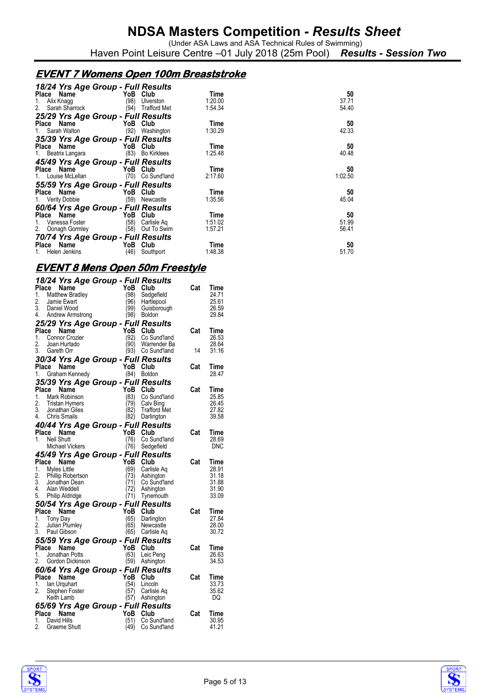(Under ASA Laws and ASA Technical Rules of Swimming) Haven Point Leisure Centre –01 July 2018 (25m Pool) *Results - Session Two*

### **EVENT 7 Womens Open 100m Breaststroke**

|                        | 18/24 Yrs Age Group - Full Results |         |         |
|------------------------|------------------------------------|---------|---------|
| Place Name             | YoB Club                           | Time    | 50      |
| Alix Knagg<br>1.       | (98)<br>Ulverston                  | 1:20.00 | 37.71   |
| 2. Sarah Sharrock      | (94)<br>Trafford Met               | 1:54.34 | 54.40   |
|                        | 25/29 Yrs Age Group - Full Results |         |         |
| Place Name             | YoB Club                           | Time    | 50      |
| 1. Sarah Walton        | (92)<br>Washington                 | 1:30.29 | 42.33   |
|                        | 35/39 Yrs Age Group - Full Results |         |         |
| Place Name             | YoB Club                           | Time    | 50      |
| 1. Beatrix Langara     | (83) Bo Kirklees                   | 1:25.48 | 40.48   |
|                        | 45/49 Yrs Age Group - Full Results |         |         |
| Place Name <b>Name</b> | YoB Club                           | Time    | 50      |
| 1. Louise McLellan     | (70) Co Sund'land                  | 2:17.60 | 1:02.50 |
|                        | 55/59 Yrs Age Group - Full Results |         |         |
| Place Name             | YoB Club                           | Time    | 50      |
| 1. Verity Dobbie       | (59) Newcastle                     | 1:35.56 | 45.04   |
|                        | 60/64 Yrs Age Group - Full Results |         |         |
| Place Name             | YoB Club                           | Time    | 50      |
| 1. Vanessa Foster      | (58)<br>Carlisle Aq                | 1:51.02 | 51.99   |
| 2. Oonagh Gormley      | (58)<br>Out To Swim                | 1:57.21 | 56.41   |
|                        | 70/74 Yrs Age Group - Full Results |         |         |
| Place Name             | YoB<br>Club                        | Time    | 50      |
| 1. Helen Jenkins       | (46)<br>Southport                  | 1:48.38 | 51.70   |

### **EVENT 8 Mens Open 50m Freestyle**

|          | 18/24 Yrs Age Group - Full Results               |                |                  |                                   |     |                |
|----------|--------------------------------------------------|----------------|------------------|-----------------------------------|-----|----------------|
|          | Place Name                                       |                | YoB Club         |                                   | Cat | Time           |
| 1.       | Matthew Bradley                                  |                | (98)             | Sedgefield                        |     | 24.71          |
| 2.<br>3. | Jamie Ewart<br>Daniel Wood                       |                | (96)<br>(99)     | Hartlepool                        |     | 25.61<br>26.59 |
| 4.       | Andrew Armstrong                                 |                | (98)             | Guisborough<br><b>Boldon</b>      |     | 29.84          |
|          | 25/29 Yrs Age Group - Full Results               |                |                  |                                   |     |                |
|          | Place Name                                       | $10-$          | YoB Club         |                                   | Cat | Time           |
| 1.       | Connor Crozier                                   |                | (92)             | Co Sund'land                      |     | 26.53          |
| 2.       | Joan Hurtado                                     |                | (90)             | Warrender Ba                      |     | 28.64          |
| 3.       | Gareth Orr                                       |                |                  | (93) Co Sund'land                 | 14  | 31.16          |
| Place    | 30/34 Yrs Age Group - Full Results               |                | YoB Club         |                                   | Cat | Time           |
| 1.       | we ivame<br>Graham Kennedy<br>5/2Ω *             |                | (84)             | <b>Boldon</b>                     |     | 28.47          |
|          | 35/39 Yrs Age Group - Full Results               |                |                  |                                   |     |                |
|          | Place Name                                       | $-\frac{1}{2}$ | YoB              | Club                              | Cat | Time           |
| 1.       | Mark Robinson                                    |                | (83)             | Co Sund'land                      |     | 25.85          |
| 2.       | Tristan Hymers                                   |                | (79)<br>(82)     | Calv Bing                         |     | 26.45          |
|          | 3. Jonathan Giles<br>4. Chris Smails             |                | (82)             | <b>Trafford Met</b><br>Darlington |     | 27.82<br>39.58 |
|          | 40/44 Yrs Age Group - Full Results               |                |                  |                                   |     |                |
|          | Place Name                                       |                | YoB Club         |                                   | Cat | Time           |
| $1_{-}$  | Neil Shutt                                       |                | (76)             | Co Sund'land                      |     | 28.69          |
|          | Michael Vickers                                  |                | (76)             | Sedgefield                        |     | DNC            |
|          | 45/49 Yrs Age Group - Full Results               |                |                  |                                   |     |                |
| Place    | Name                                             |                | YoB<br>(69)      | Club                              | Cat | Time           |
| 1.<br>2. | Myles Little<br>Phillip Robertson                |                | (73)             | Carlisle Ag<br>Ashington          |     | 28.91<br>31.18 |
|          | 3. Jonathan Dean                                 |                | (71)             | Co Sund'land                      |     | 31.88          |
| 4.       | Alan Weddell                                     |                | (72)             | Ashington                         |     | 31.90          |
|          | 5. Philip Aldridge                               |                | (71)             | Tynemouth                         |     | 33.09          |
|          | 50/54 Yrs Age Group - Full Results               |                |                  |                                   |     |                |
|          | Place Name<br>1. Tony Day                        |                | YoB Club<br>(65) | Darlington                        | Cat | Time<br>27.84  |
| 2.       | Julian Plumley                                   |                | (65)             | Newcastle                         |     | 28.00          |
| 3.       | Paul Gibson                                      |                | (65)             | Carlisle Aq                       |     | 30.72          |
|          | 55/59 Yrs Age Group - Full Results               |                |                  |                                   |     |                |
| Place    | Name                                             |                | YoB Club         |                                   | Cat | Time           |
| 1.<br>2. | Jonathan Potts<br>Gordon Dickinson               |                | (63)             | Leic Peng                         |     | 26.63<br>34.53 |
|          |                                                  |                |                  | (59) Ashington                    |     |                |
|          | 60/64 Yrs Age Group - Full Results<br>Place Name |                | YoB Club         |                                   | Cat | Time           |
| 1.       | lan Urguhart                                     |                | (54)             | Lincoln                           |     | 33.73          |
| 2.       | Stephen Foster                                   |                | (57)             | Carlisle Aq                       |     | 35.62          |
|          | Keith Lamb                                       |                |                  | (57) Ashington                    |     | DQ             |
|          | 65/69 Yrs Age Group - Full Results               |                |                  |                                   |     |                |
| 1.       | Place Name<br>David Hills                        |                | YoB<br>(51)      | Club<br>Co Sund'land              | Cat | Time<br>30.95  |
| 2.       | Graeme Shutt                                     |                | (49)             | Co Sund'Iand                      |     | 41.21          |
|          |                                                  |                |                  |                                   |     |                |

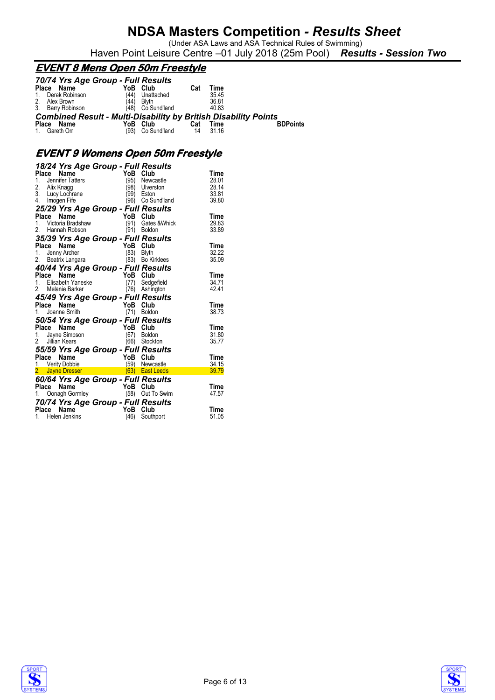(Under ASA Laws and ASA Technical Rules of Swimming)

### Haven Point Leisure Centre –01 July 2018 (25m Pool) *Results - Session Two*

### **EVENT 8 Mens Open 50m Freestyle**

|                | 70/74 Yrs Age Group - Full Results                                     |      |                   |     |       |                 |
|----------------|------------------------------------------------------------------------|------|-------------------|-----|-------|-----------------|
| Place          | Name                                                                   | YoB  | Club              | Cat | Time  |                 |
| $\mathbf{1}$ . | Derek Robinson                                                         | (44) | Unattached        |     | 35.45 |                 |
| 2.             | Alex Brown                                                             | (44) | <b>Blyth</b>      |     | 36.81 |                 |
|                | 3. Barry Robinson                                                      |      | (48) Co Sund'land |     | 40.83 |                 |
|                | <b>Combined Result - Multi-Disability by British Disability Points</b> |      |                   |     |       |                 |
| <b>Place</b>   | Name                                                                   | YoB  | Club              | Cat | Time  | <b>BDPoints</b> |
|                | 1. Gareth Orr                                                          | (93) | Co Sund'land      | 14  | 31.16 |                 |

### **EVENT 9 Womens Open 50m Freestyle**

|                  |                                                               | 18/24 Yrs Age Group - Full Results                                                                                                                                                                                                                                      |                   |               |
|------------------|---------------------------------------------------------------|-------------------------------------------------------------------------------------------------------------------------------------------------------------------------------------------------------------------------------------------------------------------------|-------------------|---------------|
| Place            | Name                                                          | YoB                                                                                                                                                                                                                                                                     | Club              | Time          |
|                  | 1. Jennifer Tatters                                           | (95)                                                                                                                                                                                                                                                                    | Newcastle         | 28.01         |
| Alix Knagg       |                                                               | (98)                                                                                                                                                                                                                                                                    | Ulverston         | 28.14         |
| 2.<br>3.         | Alix Knagg<br>Lucy Lochrane                                   | (99)                                                                                                                                                                                                                                                                    | Eston             | 33.81         |
| 4. Imogen Fife   |                                                               |                                                                                                                                                                                                                                                                         | (96) Co Sund'land | 39.80         |
|                  |                                                               | 25/29 Yrs Age Group - Full Results                                                                                                                                                                                                                                      |                   |               |
| Place Name       |                                                               | YoB                                                                                                                                                                                                                                                                     | Club              | Time          |
|                  | <b>Place Name</b><br>1. Victoria Bradshaw<br>2. Hannah Robson | (91)                                                                                                                                                                                                                                                                    | Gates & Whick     | 29.83         |
| 2.               | Hannah Robson                                                 | (91)                                                                                                                                                                                                                                                                    | <b>Boldon</b>     | 33.89         |
|                  |                                                               | 35/39 Yrs Age Group - Full Results                                                                                                                                                                                                                                      |                   |               |
| Place Name       |                                                               | YoB                                                                                                                                                                                                                                                                     | Club              | Time          |
| 1.               | Jenny Archer                                                  | $\frac{1}{2}$<br>(83)                                                                                                                                                                                                                                                   | <b>Blyth</b>      | 32.22         |
|                  | 2. Beatrix Langara                                            |                                                                                                                                                                                                                                                                         | (83) Bo Kirklees  | 35.09         |
|                  |                                                               | <b>40/44 Yrs Age Group - Full Results<br/> Place Name YoB Club<br/> 1. Elisabeth Yaneske (77) Sedgefield<br/> 2. Melanie Barker (76) Ashington</b>                                                                                                                      |                   |               |
|                  |                                                               |                                                                                                                                                                                                                                                                         |                   | Time          |
|                  |                                                               |                                                                                                                                                                                                                                                                         |                   | 34.71         |
|                  | 2. Melanie Barker                                             | (76)                                                                                                                                                                                                                                                                    | Ashington         | 42.41         |
|                  |                                                               | 45/49 Yrs Age Group - Full Results                                                                                                                                                                                                                                      |                   |               |
|                  |                                                               | YoB                                                                                                                                                                                                                                                                     | Club              | Time          |
|                  | riace <b>Name</b><br>1. Joanne Smith                          | (71)                                                                                                                                                                                                                                                                    | <b>Boldon</b>     | 38.73         |
|                  |                                                               | 50/54 Yrs Age Group - Full Results                                                                                                                                                                                                                                      |                   |               |
|                  |                                                               |                                                                                                                                                                                                                                                                         | YoB Club          | Time          |
|                  |                                                               |                                                                                                                                                                                                                                                                         |                   |               |
|                  |                                                               |                                                                                                                                                                                                                                                                         |                   |               |
|                  |                                                               | (67)                                                                                                                                                                                                                                                                    | Boldon            | 31.80         |
| 2. Jillian Kears |                                                               | <b>. ia∪e = ivarne</b><br>1.    Jayne Simpson<br>2.    Jillian Keers<br>(66)                                                                                                                                                                                            | Stockton          | 35.77         |
|                  |                                                               | 55/59 Yrs Age Group - Full Results                                                                                                                                                                                                                                      |                   |               |
| Place            |                                                               | YoB                                                                                                                                                                                                                                                                     | Club              | Time          |
|                  | <b>Place Name</b><br>1. Verity Dobbie                         | (59)                                                                                                                                                                                                                                                                    | Newcastle         | 34.15         |
|                  |                                                               | 2. Jayne Dresser (63) East Leeds                                                                                                                                                                                                                                        |                   | 39.79         |
|                  |                                                               | 60/64 Yrs Age Group - Full Results                                                                                                                                                                                                                                      |                   |               |
|                  |                                                               |                                                                                                                                                                                                                                                                         |                   | Time          |
|                  |                                                               |                                                                                                                                                                                                                                                                         | (58) Out To Swim  | 47.57         |
|                  |                                                               | The status of the South of the South of the South of the South of the South of the South of the South South of<br>Torza Marco Complex Cash of the South Of the South Of the South Of the South Of the South Of the South Of the S<br>70/74 Yrs Age Group - Full Results |                   |               |
| Place            | <b>Name</b><br>1. Helen Jenkins                               | YoB<br>(46)                                                                                                                                                                                                                                                             | Club<br>Southport | Time<br>51.05 |





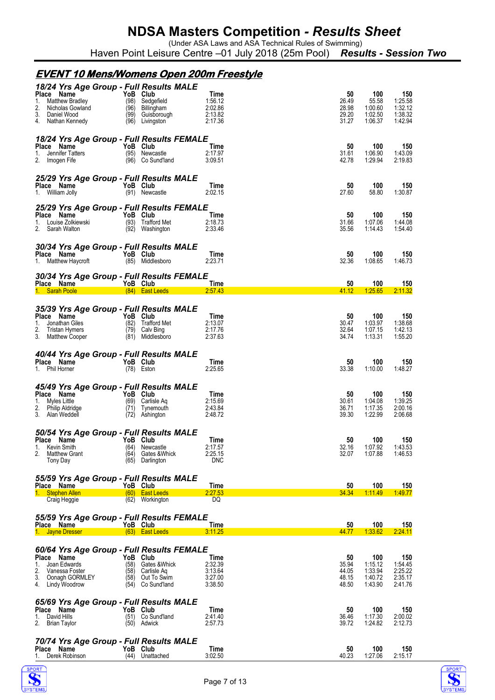(Under ASA Laws and ASA Technical Rules of Swimming) Haven Point Leisure Centre –01 July 2018 (25m Pool) *Results - Session Two*

|                                     |                                                                            |                                                                                                                                                                                                                                |                          | <u>EVENT 10 Mens/Womens Open 200m Freestyle</u>                                                                      |                                                         |                                        |                                                 |                                                 |
|-------------------------------------|----------------------------------------------------------------------------|--------------------------------------------------------------------------------------------------------------------------------------------------------------------------------------------------------------------------------|--------------------------|----------------------------------------------------------------------------------------------------------------------|---------------------------------------------------------|----------------------------------------|-------------------------------------------------|-------------------------------------------------|
| Place Name<br>1.<br>2.              | Matthew Bradley<br>Nicholas Gowland<br>3. Daniel Wood<br>4. Nathan Kennedy |                                                                                                                                                                                                                                | YoB Club                 | 18/24 Yrs Age Group - Full Results MALE<br>(98) Sedgefield<br>(96) Billingham<br>(99) Guisborough<br>(96) Livingston | <b>Time</b><br>1:56.12<br>2:02.86<br>2:13.82<br>2:17.36 | 50<br>26.49<br>28.98<br>29.20<br>31.27 | 100<br>55.58<br>1:00.60<br>1:02.50<br>1:06.37   | 150<br>1:25.58<br>1:32.12<br>1:38.32<br>1:42.94 |
| Place Name                          | 1. Jennifer Tatters<br>2. Imogen Fife                                      | YoB Club                                                                                                                                                                                                                       |                          | 18/24 Yrs Age Group - Full Results FEMALE<br>(95) Newcastle<br>(96) Co Sund'land                                     | Time<br>2:17.97<br>3:09.51                              | 50<br>31.61<br>42.78                   | 100<br>1:06.90<br>1:29.94                       | 150<br>1:43.09<br>2:19.83                       |
|                                     | <b>Place Name</b><br>1. William Jolly (91) Newca                           |                                                                                                                                                                                                                                |                          | 25/29 Yrs Age Group - Full Results MALE<br>(91) Newcastle                                                            | <b>Time</b><br>2:02.15                                  | 50<br>27.60                            | 100<br>58.80                                    | 150<br>1:30.87                                  |
| Place Name                          | 1. Louise Zolkiewski<br>2. Sarah Walton                                    | <b>Example 2018</b> YoB Club                                                                                                                                                                                                   |                          | 25/29 Yrs Age Group - Full Results FEMALE<br>(93) Trafford Met<br>(92) Washington                                    | Time<br>2:18.73<br>2:33.46                              | 50<br>31.66<br>35.56                   | 100<br>1:07.06<br>1:14.43                       | 150<br>1:44.08<br>1:54.40                       |
| Place Name                          | 1. Matthew Haycroft                                                        | <b>Example 20 YoB</b> Club                                                                                                                                                                                                     |                          | 30/34 Yrs Age Group - Full Results MALE<br>(85) Middlesboro                                                          | Time<br>2:23.71                                         | 50<br>32.36                            | 100<br>1:08.65                                  | 150<br>1:46.73                                  |
|                                     | Place Name YoB Club                                                        |                                                                                                                                                                                                                                |                          | 30/34 Yrs Age Group - Full Results FEMALE<br>1. Sarah Poole (84) East Leeds                                          | <b>Time</b><br>2:57.43                                  | 50<br>41.12                            | 100<br>1:25.65                                  | 150<br>2:11.32                                  |
|                                     |                                                                            |                                                                                                                                                                                                                                |                          |                                                                                                                      |                                                         |                                        |                                                 |                                                 |
| Place Name<br>1.<br>2.              | Jonathan Giles<br>Tristan Hymers<br>3. Matthew Cooper                      | - YoB Club                                                                                                                                                                                                                     |                          | 35/39 Yrs Age Group - Full Results MALE<br>(82) Trafford Met<br>$(79)$ Calv Bing<br>(81) Middlesboro                 | Time<br>2:13.07<br>2:17.76<br>2:37.63                   | 50<br>30.47<br>32.64<br>34.74          | 100<br>1:03.97<br>1:07.15<br>1:13.31            | 150<br>1:38.68<br>1:42.13<br>1:55.20            |
| 1. Phil Horner                      | Place Name                                                                 |                                                                                                                                                                                                                                | YoB Club                 | 40/44 Yrs Age Group - Full Results MALE<br>(78) Eston                                                                | Time<br>2:25.65                                         | 50<br>33.38                            | 100<br>1:10.00                                  | 150<br>1:48.27                                  |
| Place Name<br>1. Myles Little       | 2. Philip Aldridge<br>3. Alan Weddell<br>3. Alan Weddell                   | The South Street of the Street of the Street of the Street of the Street of the Street of the Street of the Street of the Street of the Street of the Street of the Street of the Street of the Street of the Street of the St |                          | 45/49 Yrs Age Group - Full Results MALE<br>(69) Carlisle Aq<br>(71) Tynemouth<br>(72) Ashington                      | Time<br>2:15.69<br>2:43.84<br>2:48.72                   | 50<br>30.61<br>36.71<br>39.30          | 100<br>1:04.08<br>1:17.35<br>1:22.99            | 150<br>1:39.25<br>2:00.16<br>2:06.68            |
| 1.<br>2.                            | Kevin Smith<br><b>Matthew Grant</b><br>Tony Day                            |                                                                                                                                                                                                                                | (64)<br>(64)             | 50/54 Yrs Age Group - Full Results MALE<br>Place Name YoB Club<br>Newcastle<br>Gates &Whick<br>(65) Darlington       | <b>Time</b><br>2:17.57<br>2:25.15<br><b>DNC</b>         | $50\,$<br>32.16<br>32.07               | 100<br>1:07.92<br>1:07.88                       | 150<br>1:43.53<br>1:46.53                       |
| Place Name                          |                                                                            |                                                                                                                                                                                                                                | YoB Club                 | 55/59 Yrs Age Group - Full Results MALE                                                                              | Time                                                    | 50                                     | 100                                             | 150                                             |
|                                     | 1. Stephen Allen                                                           |                                                                                                                                                                                                                                |                          | (60) East Leeds<br>(62) Workington                                                                                   | 2:27.53<br>DQ                                           | 34.34                                  | 1:11.49                                         | 1:49.77                                         |
|                                     | Craig Heggie<br>Place Name <b>The State</b>                                |                                                                                                                                                                                                                                | YoB Club                 | 55/59 Yrs Age Group - Full Results FEMALE                                                                            | <b>Time</b>                                             | 50                                     | 100                                             | 150                                             |
|                                     | 1. Jayne Dresser                                                           |                                                                                                                                                                                                                                |                          | $(63)$ East Leeds                                                                                                    | 3:11.25                                                 | 44.77                                  | 1:33.62                                         | <u>2:24.11</u>                                  |
| Place Name<br>1.<br>2.              | Joan Edwards<br>Vanessa Foster<br>3. Oonagh GORMLEY<br>4. Lindy Woodrow    |                                                                                                                                                                                                                                | YoB Club<br>(58)<br>(54) | 60/64 Yrs Age Group - Full Results FEMALE<br>Gates &Whick<br>(58) Carlisle Aq<br>(58) Out To Swim<br>Co Sund'land    | Time<br>2:32.39<br>3:13.64<br>3:27.00<br>3:38.50        | 50<br>35.94<br>44.05<br>48.15<br>48.50 | 100<br>1:15.12<br>1:33.94<br>1:40.72<br>1:43.90 | 150<br>1:54.45<br>2:25.22<br>2:35.17<br>2:41.76 |
| Place Name<br>1.<br>2. Brian Taylor | David Hills                                                                |                                                                                                                                                                                                                                | YoB Club                 | 65/69 Yrs Age Group - Full Results MALE<br>(51) Co Sund'land<br>(50) Adwick                                          | Time<br>2:41.40<br>2:57.73                              | 50<br>36.46<br>39.72                   | 100<br>1:17.30<br>1:24.82                       | 150<br>2:00.02<br>2:12.73                       |
| Place Name                          | 1. Derek Robinson                                                          |                                                                                                                                                                                                                                | YoB Club                 | 70/74 Yrs Age Group - Full Results MALE<br>(44) Unattached                                                           | Time<br>3:02.50                                         | 50<br>40.23                            | 100<br>1:27.06                                  | 150<br>2:15.17                                  |



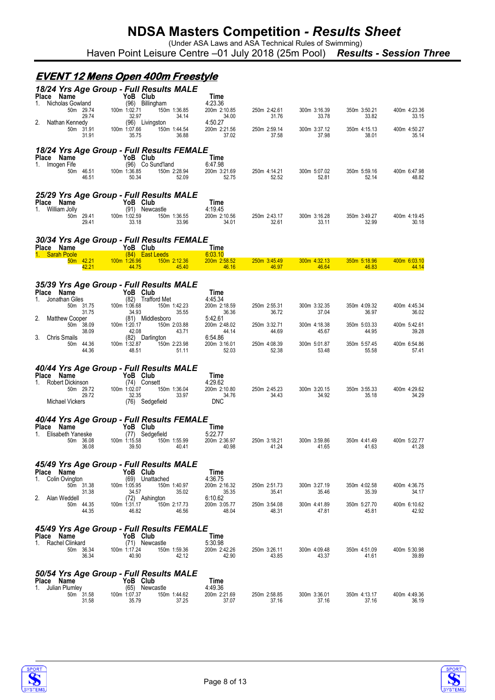(Under ASA Laws and ASA Technical Rules of Swimming) Haven Point Leisure Centre –01 July 2018 (25m Pool) *Results - Session Three*

#### **EVENT 12 Mens Open 400m Freestyle**

| Place Name                                      | 18/24 Yrs Age Group - Full Results MALE<br>YoB Club |                                                           |                       |                       |                       |                       |
|-------------------------------------------------|-----------------------------------------------------|-----------------------------------------------------------|-----------------------|-----------------------|-----------------------|-----------------------|
| Nicholas Gowland<br>1.                          | (96) Billingham                                     | Time<br>4:23.36                                           |                       |                       |                       |                       |
| 50m 29.74<br>29.74                              | 100m 1:02.71<br>32.97                               | 150m 1:36.85<br>200m 2:10.85<br>34.14<br>34.00            | 250m 2:42.61<br>31.76 | 300m 3:16.39<br>33.78 | 350m 3:50.21<br>33.82 | 400m 4:23.36<br>33.15 |
| Nathan Kennedy<br>50m 31.91<br>31.91            | (96) Livingston<br>100m 1:07.66<br>35.75            | 4:50.27<br>200m 2:21.56<br>150m 1:44.54<br>36.88<br>37.02 | 250m 2:59.14<br>37.58 | 300m 3:37.12<br>37.98 | 350m 4:15.13<br>38.01 | 400m 4:50.27<br>35.14 |
|                                                 | 18/24 Yrs Age Group - Full Results FEMALE           |                                                           |                       |                       |                       |                       |
| Place Name<br>Imogen Fife<br>1.                 | YoB Club<br>(96) Co Sund'land                       | Time<br>6:47.98                                           |                       |                       |                       |                       |
| 50m 46.51<br>46.51                              | 100m 1:36.85<br>50.34                               | 150m 2:28.94<br>200m 3:21.69<br>52.09<br>52.75            | 250m 4:14.21<br>52.52 | 300m 5:07.02<br>52.81 | 350m 5:59.16<br>52.14 | 400m 6:47.98<br>48.82 |
|                                                 | 25/29 Yrs Age Group - Full Results MALE             |                                                           |                       |                       |                       |                       |
| Place Name<br>William Jolly<br>1.               | YoB Club<br>(91) Newcastle                          | Time<br>4:19.45                                           |                       |                       |                       |                       |
| 50m 29.41<br>29.41                              | 100m 1:02.59<br>33.18                               | 200m 2:10.56<br>150m 1:36.55<br>33.96<br>34.01            | 250m 2:43.17<br>32.61 | 300m 3:16.28<br>33.11 | 350m 3:49.27<br>32.99 | 400m 4:19.45<br>30.18 |
|                                                 | 30/34 Yrs Age Group - Full Results FEMALE           |                                                           |                       |                       |                       |                       |
| <b>Place Name</b><br>1. Sarah Poole             | YoB Club<br>(84) East Leeds                         | <b>Time</b><br>6:03.10                                    |                       |                       |                       |                       |
| 50m 42.21<br>42.21                              | 100m 1:26.96<br>44.75                               | 200m 2:58.52<br>150m 2:12.36<br>45.40<br>46.16            | 250m 3:45.49<br>46.97 | 300m 4:32.13<br>46.64 | 350m 5:18.96<br>46.83 | 400m 6:03.10<br>44.14 |
|                                                 |                                                     |                                                           |                       |                       |                       |                       |
| Place Name                                      | 35/39 Yrs Age Group - Full Results MALE<br>YoB Club | Time                                                      |                       |                       |                       |                       |
| Jonathan Giles<br>1.<br>50m 31.75               | (82) Trafford Met<br>100m 1:06.68                   | 4:45.34<br>200m 2:18.59<br>150m 1:42.23                   | 250m 2:55.31          | 300m 3:32.35          | 350m 4:09.32          | 400m 4:45.34          |
| 31.75<br>2.<br><b>Matthew Cooper</b>            | 34.93<br>(81) Middlesboro                           | 35.55<br>36.36<br>5:42.61                                 | 36.72                 | 37.04                 | 36.97                 | 36.02                 |
| 50m 38.09<br>38.09                              | 100m 1:20.17<br>42.08                               | 150m 2:03.88<br>200m 2:48.02<br>43.71<br>44.14            | 250m 3:32.71<br>44.69 | 300m 4:18.38<br>45.67 | 350m 5:03.33<br>44.95 | 400m 5:42.61<br>39.28 |
| 3.<br><b>Chris Smails</b><br>50m 44.36<br>44.36 | (82) Darlington<br>100m 1:32.87<br>48.51            | 6:54.86<br>150m 2:23.98<br>200m 3:16.01<br>52.03<br>51.11 | 250m 4:08.39<br>52.38 | 300m 5:01.87<br>53.48 | 350m 5:57.45<br>55.58 | 400m 6:54.86<br>57.41 |
|                                                 |                                                     |                                                           |                       |                       |                       |                       |
| Place Name                                      | 40/44 Yrs Age Group - Full Results MALE<br>YoB Club | Time                                                      |                       |                       |                       |                       |
| Robert Dickinson<br>1.<br>50m 29.72             | (74) Consett<br>100m 1:02.07                        | 4:29.62<br>150m 1:36.04<br>200m 2:10.80                   | 250m 2:45.23          | 300m 3:20.15          | 350m 3:55.33          | 400m 4:29.62          |
| 29.72<br>Michael Vickers                        | 32.35<br>(76) Sedgefield                            | 33.97<br>34.76<br><b>DNC</b>                              | 34.43                 | 34.92                 | 35.18                 | 34.29                 |
|                                                 | 40/44 Yrs Age Group - Full Results FEMALE           |                                                           |                       |                       |                       |                       |
| Place Name<br>Elisabeth Yaneske<br>1.           | YoB Club<br>(77) Sedgefield                         | Time<br>5:22.77                                           |                       |                       |                       |                       |
| 50m 36.08<br>36.08                              | 100m 1:15.58<br>39.50                               | 200m 2:36.97<br>150m 1:55.99<br>40.41<br>40.98            | 250m 3:18.21<br>41.24 | 300m 3:59.86<br>41.65 | 350m 4:41.49<br>41.63 | 400m 5:22.77<br>41.28 |
|                                                 | 45/49 Yrs Age Group - Full Results MALE             |                                                           |                       |                       |                       |                       |
| Place Name<br>Colin Ovington<br>1.              | YoB Club<br>(69) Unattached                         | Time<br>4:36.75                                           |                       |                       |                       |                       |
| 50m 31.38<br>31.38                              | 100m 1:05.95<br>34.57                               | 200m 2:16.32<br>150m 1:40.97<br>35.02<br>35.35            | 250m 2:51.73<br>35.41 | 300m 3:27.19<br>35.46 | 350m 4:02.58<br>35.39 | 400m 4:36.75<br>34.17 |
| 2.<br>Alan Weddell<br>50m 44.35                 | (72) Ashington<br>100m 1:31.17                      | 6:10.62<br>150m 2:17.73<br>200m 3:05.77                   | 250m 3:54.08          | 300m 4:41.89          | 350m 5:27.70          | 400m 6:10.62          |
| 44.35                                           | 46.82                                               | 46.56<br>48.04                                            | 48.31                 | 47.81                 | 45.81                 | 42.92                 |
|                                                 | 45/49 Yrs Age Group - Full Results FEMALE           |                                                           |                       |                       |                       |                       |
| Place Name<br>1.<br>Rachel Clinkard             | YoB Club<br>(71) Newcastle                          | <b>Time</b><br>5:30.98                                    |                       |                       |                       |                       |
| 50m 36.34<br>36.34                              | 100m 1:17.24<br>40.90                               | 200m 2:42.26<br>150m 1:59.36<br>42.12<br>42.90            | 250m 3:26.11<br>43.85 | 300m 4:09.48<br>43.37 | 350m 4:51.09<br>41.61 | 400m 5:30.98<br>39.89 |
|                                                 | 50/54 Yrs Age Group - Full Results MALE             |                                                           |                       |                       |                       |                       |
| Place Name<br>Julian Plumley<br>1.              | YoB Club<br>(65) Newcastle                          | Time<br>4:49.36                                           |                       |                       |                       |                       |
| 50m 31.58<br>31.58                              | 100m 1:07.37<br>35.79                               | 150m 1:44.62<br>200m 2:21.69<br>37.25<br>37.07            | 250m 2:58.85<br>37.16 | 300m 3:36.01<br>37.16 | 350m 4:13.17<br>37.16 | 400m 4:49.36<br>36.19 |



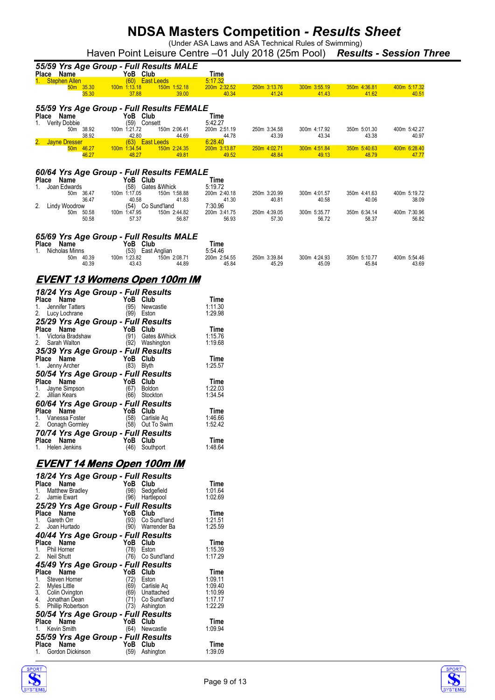(Under ASA Laws and ASA Technical Rules of Swimming)

Haven Point Leisure Centre –01 July 2018 (25m Pool) *Results - Session Three*

| 55/59 Yrs Age Group - Full Results MALE                                                    |                         |                       |                       |                       |                       |
|--------------------------------------------------------------------------------------------|-------------------------|-----------------------|-----------------------|-----------------------|-----------------------|
| YoB Club<br>Place Name<br>(60) East Leeds<br>1. Stephen Allen                              | Time<br>5:17.32         |                       |                       |                       |                       |
| 100m 1:13.18<br>150m 1:52.18<br>50m 35.30<br>37.88<br>39.00<br>35.30                       | 200m 2:32.52<br>40.34   | 250m 3:13.76<br>41.24 | 300m 3:55.19<br>41.43 | 350m 4:36.81<br>41.62 | 400m 5:17.32<br>40.51 |
| 55/59 Yrs Age Group - Full Results FEMALE                                                  |                         |                       |                       |                       |                       |
| YoB Club<br>Name<br><b>Place</b><br>(59) Consett<br><b>Verity Dobbie</b><br>1.             | Time<br>5:42.27         |                       |                       |                       |                       |
| 50m 38.92<br>100m 1:21.72<br>150m 2:06.41<br>38.92<br>42.80<br>44.69                       | 200m 2:51.19<br>44.78   | 250m 3:34.58<br>43.39 | 300m 4:17.92<br>43.34 | 350m 5:01.30<br>43.38 | 400m 5:42.27<br>40.97 |
| (63) East Leeds<br><b>Jayne Dresser</b><br>100m 1:34.54<br>50m 46.27<br>150m 2:24.35       | 6:28.40<br>200m 3:13.87 | 250m 4:02.71          | 300m 4:51.84          | 350m 5:40.63          | 400m 6:28.40          |
| 48.27<br>49.81<br>46.27                                                                    | 49.52                   | 48.84                 | 49.13                 | 48.79                 | 47.77                 |
| 60/64 Yrs Age Group - Full Results FEMALE                                                  |                         |                       |                       |                       |                       |
| Place Name<br>YoB Club<br>(58) Gates & Whick<br>Joan Edwards<br>1.                         | Time<br>5:19.72         |                       |                       |                       |                       |
| 50m 36.47<br>100m 1:17.05<br>150m 1:58.88<br>36.47<br>40.58<br>41.83                       | 200m 2:40.18<br>41.30   | 250m 3:20.99<br>40.81 | 300m 4:01.57<br>40.58 | 350m 4:41.63<br>40.06 | 400m 5:19.72<br>38.09 |
| (54) Co Sund'land<br>2.<br>Lindy Woodrow                                                   | 7:30.96                 |                       |                       |                       |                       |
| 100m 1:47.95<br>50m 50.58<br>150m 2:44.82<br>50.58<br>57.37<br>56.87                       | 200m 3:41.75<br>56.93   | 250m 4:39.05<br>57.30 | 300m 5:35.77<br>56.72 | 350m 6:34.14<br>58.37 | 400m 7:30.96<br>56.82 |
| 65/69 Yrs Age Group - Full Results MALE                                                    |                         |                       |                       |                       |                       |
| Place<br>YoB Club<br>Name                                                                  | Time                    |                       |                       |                       |                       |
| Nicholas Minns<br>(53) East Anglian<br>1.<br>50m 40.39<br>100m 1:23.82<br>150m 2:08.71     | 5:54.46<br>200m 2:54.55 | 250m 3:39.84          | 300m 4:24.93          | 350m 5:10.77          | 400m 5:54.46          |
| 43.43<br>40.39<br>44.89                                                                    | 45.84                   | 45.29                 | 45.09                 | 45.84                 | 43.69                 |
| <u>EVENT 13 Womens Open 100m IM</u>                                                        |                         |                       |                       |                       |                       |
| 18/24 Yrs Age Group - Full Results<br>Place Name<br>YoB Club                               | Time                    |                       |                       |                       |                       |
| (95)<br>1.<br>Jennifer Tatters<br>Newcastle                                                | 1:11.30                 |                       |                       |                       |                       |
| 2.<br>$(99)$ Eston<br>Lucy Lochrane<br>25/29 Yrs Age Group - Full Results                  | 1:29.98                 |                       |                       |                       |                       |
| Place Name<br>YoB Club                                                                     | Time                    |                       |                       |                       |                       |
| Victoria Bradshaw<br>(91)<br>Gates &Whick<br>1.<br>2.<br>(92) Washington<br>Sarah Walton   | 1:15.76<br>1:19.68      |                       |                       |                       |                       |
| 35/39 Yrs Age Group - Full Results                                                         |                         |                       |                       |                       |                       |
| Place Name<br>YoB Club<br>$(83)$ Blyth<br>Jenny Archer<br>1.                               | Time<br>1:25.57         |                       |                       |                       |                       |
| 50/54 Yrs Age Group - Full Results                                                         |                         |                       |                       |                       |                       |
| Place Name<br>YoB Club<br>(67)<br><b>Boldon</b><br>Jayne Simpson<br>1.                     | Time<br>1:22.03         |                       |                       |                       |                       |
| (66) Stockton<br>2.<br>Jillian Kears                                                       | 1:34.54                 |                       |                       |                       |                       |
| 60/64 Yrs Age Group - Full Results<br>Place Name<br>YoB Club                               | Time                    |                       |                       |                       |                       |
| (58)<br>Vanessa Foster<br>Carlisle Ag<br>1.<br>2.<br>(58) Out To Swim<br>Oonagh Gormley    | 1:46.66<br>1:52.42      |                       |                       |                       |                       |
| 70/74 Yrs Age Group - Full Results                                                         |                         |                       |                       |                       |                       |
| YoB Club<br>Place Name<br>Helen Jenkins<br>(46) Southport<br>1.                            | Time<br>1:48.64         |                       |                       |                       |                       |
|                                                                                            |                         |                       |                       |                       |                       |
| <u>EVENT 14 Mens Open 100m IM</u><br>18/24 Yrs Age Group - Full Results                    |                         |                       |                       |                       |                       |
| Place Name<br>YoB Club                                                                     | Time                    |                       |                       |                       |                       |
| <b>Matthew Bradley</b><br>(98)<br>Sedgefield<br>1.<br>2.<br>Jamie Ewart<br>(96) Hartlepool | 1:01.64<br>1:02.69      |                       |                       |                       |                       |
| 25/29 Yrs Age Group - Full Results                                                         |                         |                       |                       |                       |                       |
| YoB Club<br>Place Name<br>Gareth Orr<br>(93) Co Sund'land<br>1.                            | Time<br>1:21.51         |                       |                       |                       |                       |
| 2.<br>Joan Hurtado<br>(90) Warrender Ba                                                    | 1:25.59                 |                       |                       |                       |                       |
| 40/44 Yrs Age Group - Full Results<br>Place Name<br>YoB Club                               | Time                    |                       |                       |                       |                       |
| Phil Horner<br>(78)<br>Eston<br>1.<br>2.<br>Neil Shutt<br>(76) Co Sund'land                | 1:15.39<br>1:17.29      |                       |                       |                       |                       |
| 45/49 Yrs Age Group - Full Results                                                         |                         |                       |                       |                       |                       |
| Place Name<br>YoB Club<br>Steven Horner<br>Eston<br>1.<br>(72)                             | Time<br>1:09.11         |                       |                       |                       |                       |
| 2.<br>Myles Little<br>(69)<br>Carlisle Aq                                                  | 1:09.40                 |                       |                       |                       |                       |
| 3.<br>Colin Ovington<br>(69)<br>Unattached<br>Jonathan Dean<br>Co Sund'land<br>(71)<br>4.  | 1:10.99<br>1:17.17      |                       |                       |                       |                       |
| 5. Phillip Robertson<br>(73) Ashington                                                     | 1:22.29                 |                       |                       |                       |                       |
| 50/54 Yrs Age Group - Full Results<br>Place Name<br>YoB Club                               | Time                    |                       |                       |                       |                       |
| Kevin Smith<br>(64) Newcastle<br>1.                                                        | 1:09.94                 |                       |                       |                       |                       |
| 55/59 Yrs Age Group - Full Results<br>YoB Club<br>Place Name                               | Time                    |                       |                       |                       |                       |
| 1. Gordon Dickinson<br>(59) Ashington                                                      | 1:39.09                 |                       |                       |                       |                       |



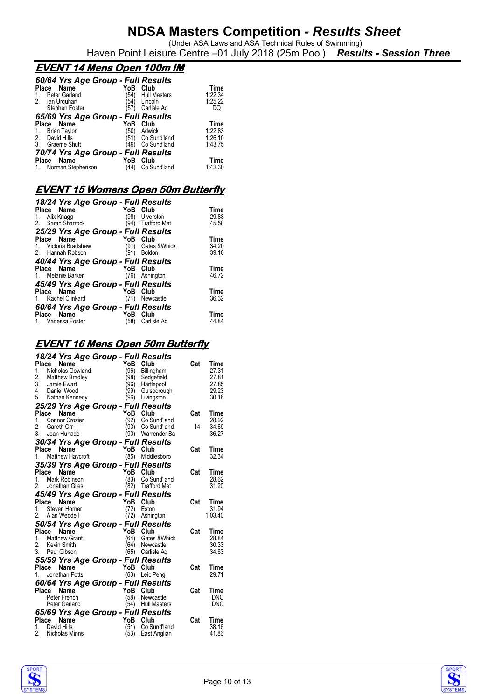(Under ASA Laws and ASA Technical Rules of Swimming) Haven Point Leisure Centre –01 July 2018 (25m Pool) *Results - Session Three*

### **EVENT 14 Mens Open 100m IM**

| 60/64 Yrs Age Group - Full Results |      |                     |         |
|------------------------------------|------|---------------------|---------|
| Place<br>Name                      | YoB  | Club                | Time    |
| Peter Garland                      | 54)  | <b>Hull Masters</b> | 1:22.34 |
| 2. Ian Urguhart                    | 54)  | Lincoln             | 1:25.22 |
| Stephen Foster                     | (57) | Carlisle Ag         | DQ      |
| 65/69 Yrs Age Group - Full Results |      |                     |         |
| Name<br>Place                      | YoB  | Club                | Time    |
| <b>Brian Taylor</b><br>1.          | '50) | Adwick              | 1:22.83 |
| David Hills<br>2.                  |      | (51) Co Sund'land   | 1:26.10 |
| 3.<br>Graeme Shutt                 | 49)  | Co Sund'land        | 1:43.75 |
| 70/74 Yrs Age Group - Full Results |      |                     |         |
| Name<br><b>Place</b>               | YoB  | Club                | Time    |
| 1. Norman Stephenson               | (44) | Co Sund'land        | 1:42.30 |

### **EVENT 15 Womens Open 50m Butterfly**

| 18/24 Yrs Age Group - Full Results |                             |       |
|------------------------------------|-----------------------------|-------|
| Place Name                         | YoB Club                    | Time  |
| Alix Knagg<br>1.                   | 98)<br>Ulverston            | 29.88 |
| 2. Sarah Sharrock                  | <b>Trafford Met</b><br>'94) | 45.58 |
| 25/29 Yrs Age Group - Full Results |                             |       |
| Place Name                         | YoB<br>Club                 | Time  |
| Victoria Bradshaw<br>1.            | (91)<br>Gates & Whick       | 34.20 |
| 2. Hannah Robson                   | (91)<br>Boldon              | 39.10 |
| 40/44 Yrs Age Group - Full Results |                             |       |
| Place Name                         | YoB<br>Club                 | Time  |
| 1. Melanie Barker                  | (76)<br>Ashington           | 46.72 |
| 45/49 Yrs Age Group - Full Results |                             |       |
| Place Name                         | YoB<br>Club                 | Time  |
| <b>Rachel Clinkard</b>             | (71)<br>Newcastle           | 36.32 |
| 60/64 Yrs Age Group - Full Results |                             |       |
| Place Name                         | YoB<br>Club                 | Time  |
| 1. Vanessa Foster                  | (58)<br>Carlisle Ag         | 44.84 |
|                                    |                             |       |

### **EVENT 16 Mens Open 50m Butterfly**

|               |       | 18/24 Yrs Age Group - Full Results                                                                                                                 |                                                                                                                                                                                                                                                                                                                                                                                                                                                              |                     |                                                                                                                       |     |                                                   |
|---------------|-------|----------------------------------------------------------------------------------------------------------------------------------------------------|--------------------------------------------------------------------------------------------------------------------------------------------------------------------------------------------------------------------------------------------------------------------------------------------------------------------------------------------------------------------------------------------------------------------------------------------------------------|---------------------|-----------------------------------------------------------------------------------------------------------------------|-----|---------------------------------------------------|
| 1.<br>2.      |       | Place Name<br>Nicholas Gowland<br>Matthew Bradley<br>3. Jamie Ewart<br>4. Daniel Wood<br>5. Nathan Kennedy                                         |                                                                                                                                                                                                                                                                                                                                                                                                                                                              | YoB<br>(96)<br>(98) | Club<br>Billingham<br>Sedgefield<br>(96) Hartlepool<br>(99) Guisborou<br>(96) Livingston<br>Hartlepool<br>Guisborough | Cat | Time<br>27.31<br>27.81<br>27.85<br>29.23<br>30.16 |
|               |       | 25/29 Yrs Age Group - Full Results<br>Place Name                                                                                                   |                                                                                                                                                                                                                                                                                                                                                                                                                                                              | YoB Club            |                                                                                                                       | Cat |                                                   |
|               |       | <b>Place Name</b><br>1. Connor Crozier<br>2. Gareth Orr                                                                                            |                                                                                                                                                                                                                                                                                                                                                                                                                                                              | (92)                | Co Sund'land                                                                                                          |     | Time<br>28.92                                     |
|               |       |                                                                                                                                                    |                                                                                                                                                                                                                                                                                                                                                                                                                                                              | (93)                | Co Sund'land                                                                                                          | 14  | 34.69                                             |
|               |       | 3. Joan Hurtado                                                                                                                                    |                                                                                                                                                                                                                                                                                                                                                                                                                                                              |                     | (90) Warrender Ba                                                                                                     |     | 36.27                                             |
|               |       | 30/34 Yrs Age Group - Full Results                                                                                                                 |                                                                                                                                                                                                                                                                                                                                                                                                                                                              |                     |                                                                                                                       |     |                                                   |
|               |       | <b>Place Name</b><br>1. Matthew Haycroft (85) Middlesboro                                                                                          |                                                                                                                                                                                                                                                                                                                                                                                                                                                              |                     |                                                                                                                       | Cat | Time                                              |
|               |       |                                                                                                                                                    |                                                                                                                                                                                                                                                                                                                                                                                                                                                              |                     |                                                                                                                       |     | 32.34                                             |
|               |       | <b>35/39 Yrs Age Group - Full Results<br/> Place Name YoB Club<br/> 1. Mark Robinson (83) Co Sund'Ian<br/> 2. Jonathan Giles (82) Trafford Met</b> |                                                                                                                                                                                                                                                                                                                                                                                                                                                              |                     |                                                                                                                       | Cat |                                                   |
|               |       |                                                                                                                                                    |                                                                                                                                                                                                                                                                                                                                                                                                                                                              |                     | Co Sund'land                                                                                                          |     | Time<br>28.62                                     |
|               |       | Jonathan Giles                                                                                                                                     |                                                                                                                                                                                                                                                                                                                                                                                                                                                              |                     | (82) Trafford Met                                                                                                     |     | 31.20                                             |
|               |       | 45/49 Yrs Age Group - Full Results                                                                                                                 |                                                                                                                                                                                                                                                                                                                                                                                                                                                              |                     |                                                                                                                       |     |                                                   |
|               | Place | Name                                                                                                                                               |                                                                                                                                                                                                                                                                                                                                                                                                                                                              | YoB Club            |                                                                                                                       | Cat | Time                                              |
|               |       |                                                                                                                                                    |                                                                                                                                                                                                                                                                                                                                                                                                                                                              |                     |                                                                                                                       |     |                                                   |
| 1.            |       | Steven Horner                                                                                                                                      |                                                                                                                                                                                                                                                                                                                                                                                                                                                              | (72)                | Eston                                                                                                                 |     | 31.94                                             |
|               |       | 2. Alan Weddell                                                                                                                                    |                                                                                                                                                                                                                                                                                                                                                                                                                                                              | (72)                | Ashington                                                                                                             |     | 1:03.40                                           |
|               |       |                                                                                                                                                    |                                                                                                                                                                                                                                                                                                                                                                                                                                                              |                     | 50/54 Yrs Age Group - Full Results                                                                                    |     |                                                   |
| Place         |       | Name                                                                                                                                               |                                                                                                                                                                                                                                                                                                                                                                                                                                                              |                     | Club                                                                                                                  | Cat | Time                                              |
|               |       | 1. Matthew Grant                                                                                                                                   |                                                                                                                                                                                                                                                                                                                                                                                                                                                              |                     | Gates & Whick                                                                                                         |     | 28.84                                             |
|               |       | 2. Kevin Smith<br>3. Paul Gibson                                                                                                                   |                                                                                                                                                                                                                                                                                                                                                                                                                                                              |                     | (64) Gates & Wh<br>(64) Newcastle                                                                                     |     | 30.33<br>34.63                                    |
|               |       |                                                                                                                                                    | $\begin{array}{c}\n\mathbf{I} & \mathbf{I} \\ \mathbf{A} \\ \mathbf{B} \\ \mathbf{B} \\ \mathbf{A} \\ \mathbf{B} \\ \mathbf{A} \\ \mathbf{B} \\ \mathbf{A} \\ \mathbf{B} \\ \mathbf{A} \\ \mathbf{A} \\ \mathbf{A} \\ \mathbf{A} \\ \mathbf{A} \\ \mathbf{A} \\ \mathbf{A} \\ \mathbf{A} \\ \mathbf{A} \\ \mathbf{A} \\ \mathbf{A} \\ \mathbf{A} \\ \mathbf{A} \\ \mathbf{A} \\ \mathbf{A} \\ \mathbf{A} \\ \mathbf{A} \\ \mathbf{A} \\ \mathbf{A} \\ \math$ |                     | (65) Carlisle Aq                                                                                                      |     |                                                   |
|               | Place | Name                                                                                                                                               |                                                                                                                                                                                                                                                                                                                                                                                                                                                              |                     | 55/59 Yrs Age Group - Full Results                                                                                    | Cat | Time                                              |
| 1.            |       | Jonathan Potts                                                                                                                                     | $Y_{\text{Q}B}$ Club                                                                                                                                                                                                                                                                                                                                                                                                                                         | (63)                | Leic Peng                                                                                                             |     | 29.71                                             |
|               |       |                                                                                                                                                    |                                                                                                                                                                                                                                                                                                                                                                                                                                                              |                     |                                                                                                                       |     |                                                   |
|               | Place | Name                                                                                                                                               |                                                                                                                                                                                                                                                                                                                                                                                                                                                              |                     | 60/64 Yrs Age Group - Full Results                                                                                    | Cat | Time                                              |
|               |       | Peter French                                                                                                                                       | YoB Club<br>(58) Newca                                                                                                                                                                                                                                                                                                                                                                                                                                       |                     | Newcastle                                                                                                             |     | <b>DNC</b>                                        |
|               |       | Peter Garland                                                                                                                                      |                                                                                                                                                                                                                                                                                                                                                                                                                                                              |                     | (54) Hull Masters                                                                                                     |     | <b>DNC</b>                                        |
|               |       | 65/69 Yrs Age Group - Full Results                                                                                                                 |                                                                                                                                                                                                                                                                                                                                                                                                                                                              |                     |                                                                                                                       |     |                                                   |
|               |       | Place Name<br>1. David Hills                                                                                                                       | YoB Club                                                                                                                                                                                                                                                                                                                                                                                                                                                     | (51)                | Co Sund'land                                                                                                          | Cat | Time<br>38.16                                     |
| $\mathcal{P}$ |       | Nicholas Minns                                                                                                                                     |                                                                                                                                                                                                                                                                                                                                                                                                                                                              | (53)                | East Anglian                                                                                                          |     | 41.86                                             |

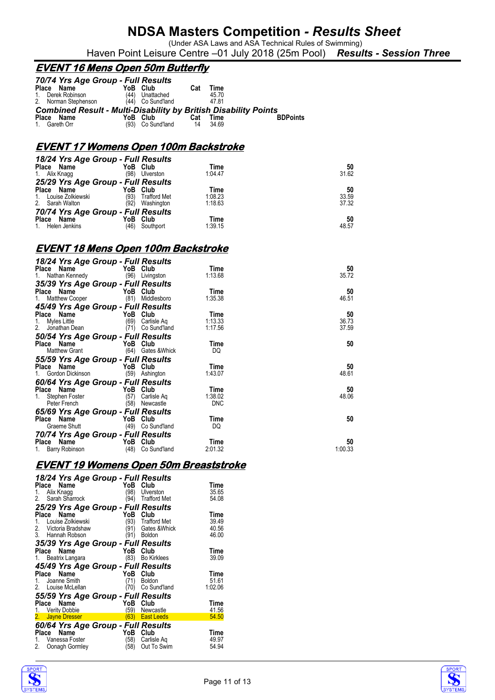(Under ASA Laws and ASA Technical Rules of Swimming)

### Haven Point Leisure Centre –01 July 2018 (25m Pool) *Results - Session Three*

### **EVENT 16 Mens Open 50m Butterfly**

|              | 70/74 Yrs Age Group - Full Results                                     |     |                     |     |       |                 |
|--------------|------------------------------------------------------------------------|-----|---------------------|-----|-------|-----------------|
|              | Place Name                                                             | YoB | Club                | Cat | Time  |                 |
| $1_{-}$      | Derek Robinson                                                         |     | (44) Unattached     |     | 45.70 |                 |
|              | 2. Norman Stephenson                                                   |     | $(44)$ Co Sund'land |     | 4781  |                 |
|              | <b>Combined Result - Multi-Disability by British Disability Points</b> |     |                     |     |       |                 |
| <b>Place</b> | Name                                                                   | YoB | Club                | Cat | Time  | <b>BDPoints</b> |
|              | 1. Gareth Orr                                                          |     | (93) Co Sund'land   | 14  | 34.69 |                 |

### **EVENT 17 Womens Open 100m Backstroke**

| 18/24 Yrs Age Group - Full Results |      |                     |         |       |
|------------------------------------|------|---------------------|---------|-------|
| Place Name                         |      | YoB Club            | Time    | 50    |
| 1. Alix Knagg                      | (98) | Ulverston           | 1:04.47 | 31.62 |
| 25/29 Yrs Age Group - Full Results |      |                     |         |       |
| Place Name                         |      | YoB Club            | Time    | 50    |
| 1. Louise Zolkiewski               | (93) | <b>Trafford Met</b> | 1:08.23 | 33.59 |
| 2. Sarah Walton                    | (92) | Washington          | 1:18.63 | 37.32 |
| 70/74 Yrs Age Group - Full Results |      |                     |         |       |
| Place Name                         | YoB  | Club                | Time    | 50    |
| 1. Helen Jenkins                   | (46) | Southport           | 1:39.15 | 48.57 |

#### **EVENT 18 Mens Open 100m Backstroke**

| 18/24 Yrs Age Group - Full Results |      |                   |            |         |
|------------------------------------|------|-------------------|------------|---------|
| Place Name                         | YoB  | Club              | Time       | 50      |
| 1.<br>Nathan Kennedy               |      | (96) Livingston   | 1:13.68    | 35.72   |
| 35/39 Yrs Age Group - Full Results |      |                   |            |         |
| Place Name                         |      | YoB Club          | Time       | 50      |
| Matthew Cooper<br>1.               |      | (81) Middlesboro  | 1:35.38    | 46.51   |
| 45/49 Yrs Age Group - Full Results |      |                   |            |         |
| Place Name                         | YoB  | Club              | Time       | 50      |
| Myles Little<br>1.                 | (69) | Carlisle Ag       | 1:13.33    | 36.73   |
| 2. Jonathan Dean                   | (71) | Co Sund'land      | 1:17.56    | 37.59   |
| 50/54 Yrs Age Group - Full Results |      |                   |            |         |
| Place Name                         |      | YoB Club          | Time       | 50      |
| Matthew Grant                      | (64) | Gates & Whick     | DQ         |         |
| 55/59 Yrs Age Group - Full Results |      |                   |            |         |
| Place Name                         | YoB  | Club              | Time       | 50      |
| Gordon Dickinson<br>1.             | (59) | Ashington         | 1:43.07    | 48.61   |
|                                    |      |                   |            |         |
| 60/64 Yrs Age Group - Full Results |      |                   |            |         |
| Place Name                         |      | YoB Club          | Time       | 50      |
| Stephen Foster<br>1.               | (57) | Carlisle Ag       | 1:38.02    | 48.06   |
| Peter French                       | (58) | Newcastle         | <b>DNC</b> |         |
| 65/69 Yrs Age Group - Full Results |      |                   |            |         |
| Place Name                         | YoB  | Club              | Time       | 50      |
| Graeme Shutt                       |      | (49) Co Sund'land | DQ         |         |
| 70/74 Yrs Age Group - Full Results |      |                   |            |         |
| Place Name                         |      | YoB Club          | Time       | 50      |
| Barry Robinson<br>1.               | (48) | Co Sund'land      | 2:01.32    | 1:00.33 |

#### **EVENT 19 Womens Open 50m Breaststroke**

| 18/24 Yrs Age Group - Full Results |      |                     |             |
|------------------------------------|------|---------------------|-------------|
| Place Name                         | YoB  | Club                | Time        |
| Alix Knagg<br>1.                   | '98) | Ulverston           | 35.65       |
| 2. Sarah Sharrock                  | '94) | <b>Trafford Met</b> | 54.08       |
| 25/29 Yrs Age Group - Full Results |      |                     |             |
| Name<br>Place                      | YoB  | Club                | Time        |
| Louise Zolkiewski                  | (93) | <b>Trafford Met</b> | 39.49       |
| 2.<br>Victoria Bradshaw            | (91) | Gates & Whick       | 40.56       |
| 3. Hannah Robson                   | (91) | <b>Boldon</b>       | 46.00       |
| 35/39 Yrs Age Group - Full Results |      |                     |             |
| Place Name                         | YoB  | Club                | Time        |
| 1. Beatrix Langara                 | (83) | <b>Bo Kirklees</b>  | 39.09       |
| 45/49 Yrs Age Group - Full Results |      |                     |             |
| Place<br>Name                      | YoB  | Club                | <b>Time</b> |
| 1. Joanne Smith                    | (71) | <b>Boldon</b>       | 51.61       |
| 2. Louise McLellan                 |      | Co Sund'land        | 1:02.06     |
| 55/59 Yrs Age Group - Full Results |      |                     |             |
| Name<br>Place                      | YoB  | Club                | Time        |
| 1. Verity Dobbie                   | (59) | Newcastle           | 41.56       |
| 2. Jayne Dresser                   |      | (63) East Leeds     | 54.50       |
| 60/64 Yrs Age Group - Full Results |      |                     |             |
| Name<br>Place                      | YoB  | Club                | Time        |
| 1. Vanessa Foster                  | (58) | Carlisle Aq         | 49.97       |
| 2.<br>Oonagh Gormley               | (58) | Out To Swim         | 54.94       |
|                                    |      |                     |             |



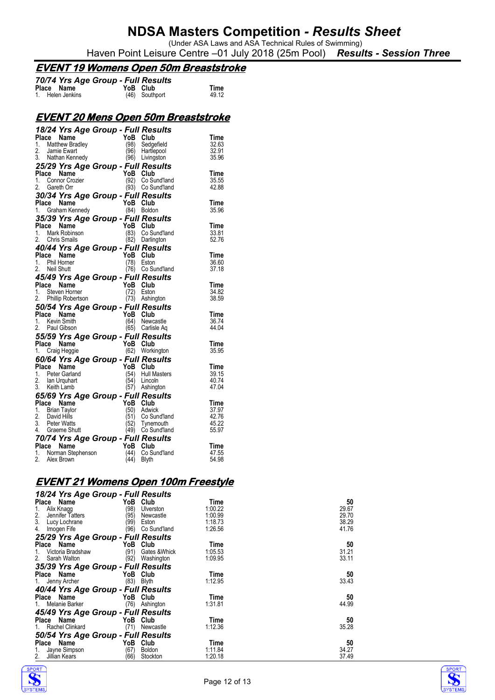(Under ASA Laws and ASA Technical Rules of Swimming) Haven Point Leisure Centre –01 July 2018 (25m Pool) *Results - Session Three*

#### **EVENT 19 Womens Open 50m Breaststroke**

| 70/74 Yrs Age Group - Full Results |                |       |
|------------------------------------|----------------|-------|
| Place Name                         | YoB Club       | Time  |
| 1. Helen Jenkins                   | (46) Southport | 49.12 |

### **EVENT 20 Mens Open 50m Breaststroke**

|       |       | 18/24 Yrs Age Group - Full Results |                         |          |                     |             |
|-------|-------|------------------------------------|-------------------------|----------|---------------------|-------------|
|       |       | Place Name                         |                         | YoB Club |                     | Time        |
| 1.    |       | <b>Matthew Bradley</b>             |                         | (98)     | Sedgefield          | 32.63       |
| 2.    |       | Jamie Ewart                        |                         | (96)     | Hartlepool          | 32.91       |
|       |       | 3. Nathan Kennedy                  |                         | (96)     | Livingston          | 35.96       |
|       |       | 25/29 Yrs Age Group - Full Results |                         |          |                     |             |
|       | Place | Name                               |                         | YoB Club |                     | Time        |
|       |       | 1. Connor Crozier                  |                         | (92)     | Co Sund'land        | 35.55       |
|       |       | 2. Gareth Orr                      |                         | (93)     | Co Sund'land        | 42.88       |
|       |       | 30/34 Yrs Age Group - Full Results |                         |          |                     |             |
|       |       | Place Name                         |                         | YoB      | Club                | <b>Time</b> |
|       |       | 1. Graham Kennedy                  |                         | (84)     | Boldon              | 35.96       |
|       |       | 35/39 Yrs Age Group - Full Results |                         |          |                     |             |
|       |       | Place Name                         |                         | YoB Club |                     | Time        |
|       |       | 1. Mark Robinson                   | an Salah<br>Salah Salah | (83)     | Co Sund'land        | 33.81       |
|       |       | 2. Chris Smails                    |                         |          | (82) Darlington     | 52.76       |
|       |       | 40/44 Yrs Age Group - Full Results |                         |          |                     |             |
|       |       | Place Name                         |                         | YoB Club |                     | Time        |
|       |       | 1. Phil Horner                     |                         | (78)     | Eston               | 36.60       |
|       |       | 2. Neil Shutt                      |                         |          | (76) Co Sund'land   | 37.18       |
|       |       | 45/49 Yrs Age Group - Full Results |                         |          |                     |             |
| Place |       | Name                               |                         | YoB      | Club                | Time        |
|       |       | 1. Steven Horner                   |                         | (72)     | Eston               | 34.82       |
|       |       | 2. Phillip Robertson               |                         |          | $(73)$ Ashington    | 38.59       |
|       |       | 50/54 Yrs Age Group - Full Results |                         |          |                     |             |
|       |       | Place Name                         |                         | YoB Club |                     | Time        |
| 1.    |       | Kevin Smith                        |                         | (64)     | Newcastle           | 36.74       |
|       |       | 2. Paul Gibson                     |                         |          | (65) Carlisle Aq    | 44.04       |
|       |       | 55/59 Yrs Age Group - Full Results |                         |          |                     |             |
|       |       | Place Name                         |                         | YoB      | Club                | Time        |
|       |       | 1. Craig Heggie                    |                         |          | (62) Workington     | 35.95       |
|       |       | 60/64 Yrs Age Group - Full Results |                         |          |                     |             |
| Place |       | Name                               |                         | YoB      | Club                | Time        |
|       |       | 1. Peter Garland                   |                         | (54)     | <b>Hull Masters</b> | 39.15       |
|       |       | 2. Ian Urquhart                    |                         | (54)     | Lincoln             | 40.74       |
|       |       | 3. Keith Lamb                      |                         |          | (57) Ashington      | 47.04       |
|       |       | 65/69 Yrs Age Group - Full Results |                         |          |                     |             |
|       |       | Place Name                         |                         | YoB      | Club                | <b>Time</b> |
|       |       | 1. Brian Taylor                    |                         | (50)     | Adwick              | 37.97       |
|       |       | 2. David Hills                     |                         | (51)     | Co Sund'land        | 42.76       |
|       |       | 3. Peter Watts                     |                         | (52)     | Tynemouth           | 45.22       |
|       |       | 4. Graeme Shutt                    |                         | (49)     | Co Sund'land        | 55.97       |
|       |       | 70/74 Yrs Age Group - Full Results |                         |          |                     |             |
|       |       | Place Name                         |                         | YoB Club |                     | Time        |
|       |       | 1. Norman Stephenson               |                         | (44)     | Co Sund'land        | 47.55       |
|       |       | 2. Alex Brown                      |                         | (44)     | <b>Blyth</b>        | 54.98       |

### **EVENT 21 Womens Open 100m Freestyle**

| 18/24 Yrs Age Group - Full Results |                       |         |       |
|------------------------------------|-----------------------|---------|-------|
| Place<br>Name                      | YoB<br>Club           | Time    | 50    |
| Alix Knagg                         | (98)<br>Ulverston     | 1:00.22 | 29.67 |
| 2.<br>Jennifer Tatters             | (95)<br>Newcastle     | 1:00.99 | 29.70 |
| 3.<br>Lucy Lochrane                | (99)<br>Eston         | 1:18.73 | 38.29 |
| 4.<br>Imogen Fife                  | (96)<br>Co Sund'land  | 1:26.56 | 41.76 |
| 25/29 Yrs Age Group - Full Results |                       |         |       |
| Name<br>Place                      | YoB<br>Club           | Time    | 50    |
| Victoria Bradshaw<br>1.            | (91)<br>Gates & Whick | 1:05.53 | 31.21 |
| Sarah Walton<br>2.                 | (92)<br>Washington    | 1:09.95 | 33.11 |
| 35/39 Yrs Age Group - Full Results |                       |         |       |
| Place<br>Name                      | YoB<br>Club           | Time    | 50    |
| Jenny Archer<br>1.                 | (83)<br>Blyth         | 1:12.95 | 33.43 |
| 40/44 Yrs Age Group - Full Results |                       |         |       |
| Place Name                         | YoB<br>Club           | Time    | 50    |
| Melanie Barker                     | (76)<br>Ashington     | 1:31.81 | 44.99 |
| 45/49 Yrs Age Group - Full Results |                       |         |       |
| Name<br>Place                      | YoB<br>Club           | Time    | 50    |
| Rachel Clinkard                    | (71)<br>Newcastle     | 1:12.36 | 35.28 |
| 50/54 Yrs Age Group - Full Results |                       |         |       |
| YoB<br>Name<br>Place               | Club                  | Time    | 50    |
| Jayne Simpson<br>1.                | (67)<br><b>Boldon</b> | 1:11.84 | 34.27 |
| 2.<br>Jillian Kears                | (66)<br>Stockton      | 1:20.18 | 37.49 |